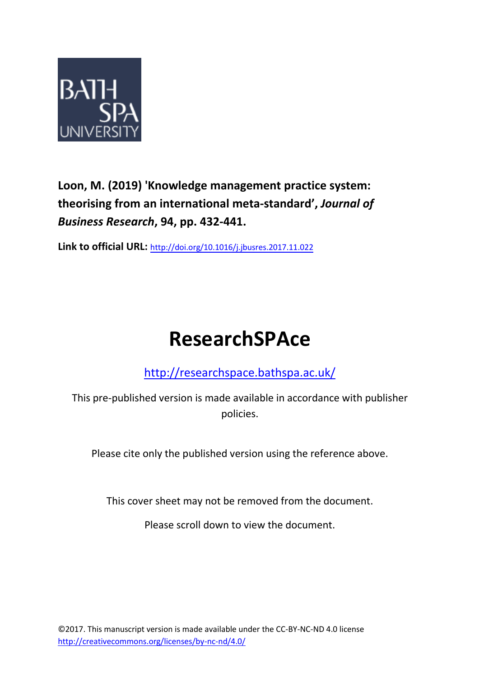

**Loon, M. (2019) 'Knowledge management practice system: theorising from an international meta-standard' ,** *Journal of Business Research***, 94, pp. 432-441.**

**Link to official URL:** <http://doi.org/10.1016/j.jbusres.2017.11.022>

# **ResearchSPAce**

<http://researchspace.bathspa.ac.uk/>

This pre-published version is made available in accordance with publisher policies.

Please cite only the published version using the reference above.

This cover sheet may not be removed from the document.

Please scroll down to view the document.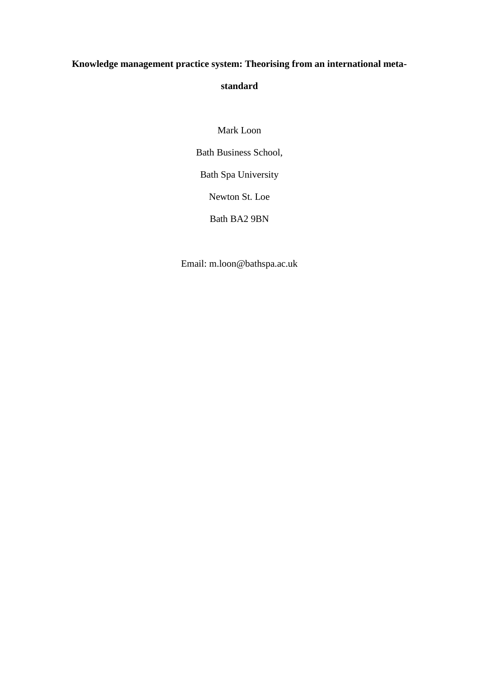# **Knowledge management practice system: Theorising from an international meta-**

# **standard**

Mark Loon

Bath Business School,

Bath Spa University

Newton St. Loe

Bath BA2 9BN

Email: m.loon@bathspa.ac.uk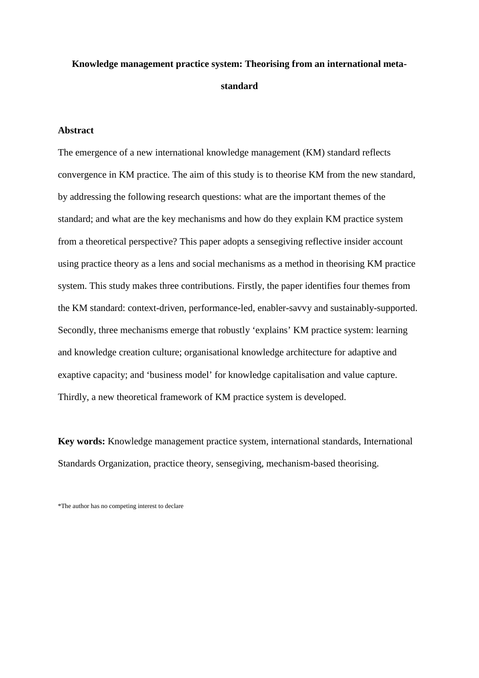# **Knowledge management practice system: Theorising from an international metastandard**

#### **Abstract**

The emergence of a new international knowledge management (KM) standard reflects convergence in KM practice. The aim of this study is to theorise KM from the new standard, by addressing the following research questions: what are the important themes of the standard; and what are the key mechanisms and how do they explain KM practice system from a theoretical perspective? This paper adopts a sensegiving reflective insider account using practice theory as a lens and social mechanisms as a method in theorising KM practice system. This study makes three contributions. Firstly, the paper identifies four themes from the KM standard: context-driven, performance-led, enabler-savvy and sustainably-supported. Secondly, three mechanisms emerge that robustly 'explains' KM practice system: learning and knowledge creation culture; organisational knowledge architecture for adaptive and exaptive capacity; and 'business model' for knowledge capitalisation and value capture. Thirdly, a new theoretical framework of KM practice system is developed.

**Key words:** Knowledge management practice system, international standards, International Standards Organization, practice theory, sensegiving, mechanism-based theorising.

\*The author has no competing interest to declare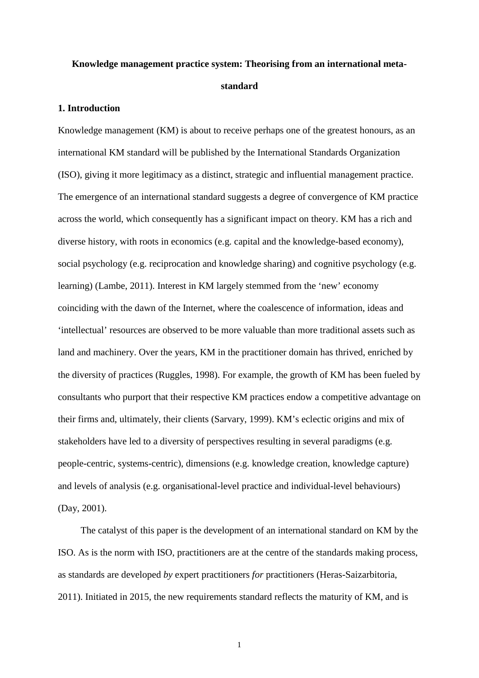# **Knowledge management practice system: Theorising from an international metastandard**

#### **1. Introduction**

Knowledge management (KM) is about to receive perhaps one of the greatest honours, as an international KM standard will be published by the International Standards Organization (ISO), giving it more legitimacy as a distinct, strategic and influential management practice. The emergence of an international standard suggests a degree of convergence of KM practice across the world, which consequently has a significant impact on theory. KM has a rich and diverse history, with roots in economics (e.g. capital and the knowledge-based economy), social psychology (e.g. reciprocation and knowledge sharing) and cognitive psychology (e.g. learning) (Lambe, 2011). Interest in KM largely stemmed from the 'new' economy coinciding with the dawn of the Internet, where the coalescence of information, ideas and 'intellectual' resources are observed to be more valuable than more traditional assets such as land and machinery. Over the years, KM in the practitioner domain has thrived, enriched by the diversity of practices (Ruggles, 1998). For example, the growth of KM has been fueled by consultants who purport that their respective KM practices endow a competitive advantage on their firms and, ultimately, their clients (Sarvary, 1999). KM's eclectic origins and mix of stakeholders have led to a diversity of perspectives resulting in several paradigms (e.g. people-centric, systems-centric), dimensions (e.g. knowledge creation, knowledge capture) and levels of analysis (e.g. organisational-level practice and individual-level behaviours) (Day, 2001).

The catalyst of this paper is the development of an international standard on KM by the ISO. As is the norm with ISO, practitioners are at the centre of the standards making process, as standards are developed *by* expert practitioners *for* practitioners (Heras-Saizarbitoria, 2011). Initiated in 2015, the new requirements standard reflects the maturity of KM, and is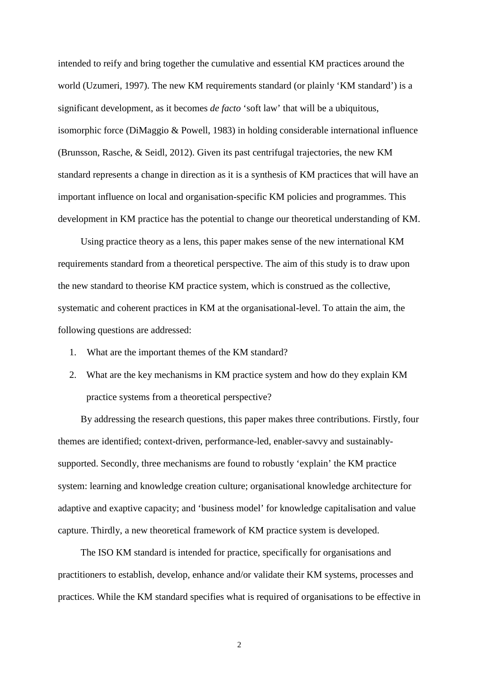intended to reify and bring together the cumulative and essential KM practices around the world (Uzumeri, 1997). The new KM requirements standard (or plainly 'KM standard') is a significant development, as it becomes *de facto* 'soft law' that will be a ubiquitous, isomorphic force (DiMaggio & Powell, 1983) in holding considerable international influence (Brunsson, Rasche, & Seidl, 2012). Given its past centrifugal trajectories, the new KM standard represents a change in direction as it is a synthesis of KM practices that will have an important influence on local and organisation-specific KM policies and programmes. This development in KM practice has the potential to change our theoretical understanding of KM.

Using practice theory as a lens, this paper makes sense of the new international KM requirements standard from a theoretical perspective. The aim of this study is to draw upon the new standard to theorise KM practice system, which is construed as the collective, systematic and coherent practices in KM at the organisational-level. To attain the aim, the following questions are addressed:

- 1. What are the important themes of the KM standard?
- 2. What are the key mechanisms in KM practice system and how do they explain KM practice systems from a theoretical perspective?

By addressing the research questions, this paper makes three contributions. Firstly, four themes are identified; context-driven, performance-led, enabler-savvy and sustainablysupported. Secondly, three mechanisms are found to robustly 'explain' the KM practice system: learning and knowledge creation culture; organisational knowledge architecture for adaptive and exaptive capacity; and 'business model' for knowledge capitalisation and value capture. Thirdly, a new theoretical framework of KM practice system is developed.

The ISO KM standard is intended for practice, specifically for organisations and practitioners to establish, develop, enhance and/or validate their KM systems, processes and practices. While the KM standard specifies what is required of organisations to be effective in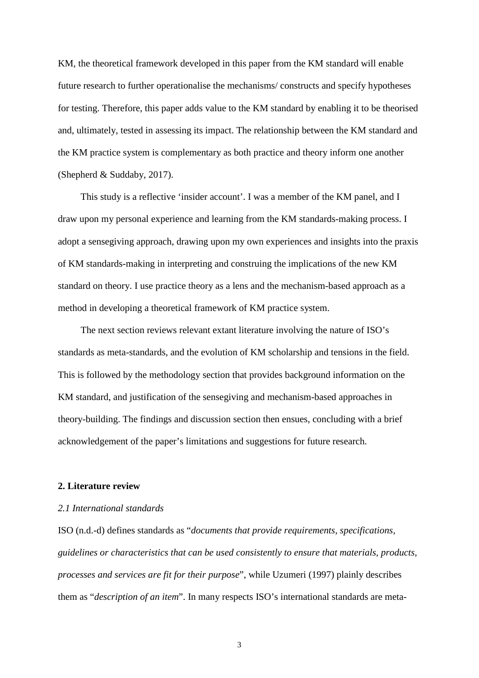KM, the theoretical framework developed in this paper from the KM standard will enable future research to further operationalise the mechanisms/ constructs and specify hypotheses for testing. Therefore, this paper adds value to the KM standard by enabling it to be theorised and, ultimately, tested in assessing its impact. The relationship between the KM standard and the KM practice system is complementary as both practice and theory inform one another (Shepherd & Suddaby, 2017).

This study is a reflective 'insider account'. I was a member of the KM panel, and I draw upon my personal experience and learning from the KM standards-making process. I adopt a sensegiving approach, drawing upon my own experiences and insights into the praxis of KM standards-making in interpreting and construing the implications of the new KM standard on theory. I use practice theory as a lens and the mechanism-based approach as a method in developing a theoretical framework of KM practice system.

The next section reviews relevant extant literature involving the nature of ISO's standards as meta-standards, and the evolution of KM scholarship and tensions in the field. This is followed by the methodology section that provides background information on the KM standard, and justification of the sensegiving and mechanism-based approaches in theory-building. The findings and discussion section then ensues, concluding with a brief acknowledgement of the paper's limitations and suggestions for future research.

#### **2. Literature review**

#### *2.1 International standards*

ISO (n.d.-d) defines standards as "*documents that provide requirements, specifications, guidelines or characteristics that can be used consistently to ensure that materials, products, processes and services are fit for their purpose*", while Uzumeri (1997) plainly describes them as "*description of an item*". In many respects ISO's international standards are meta-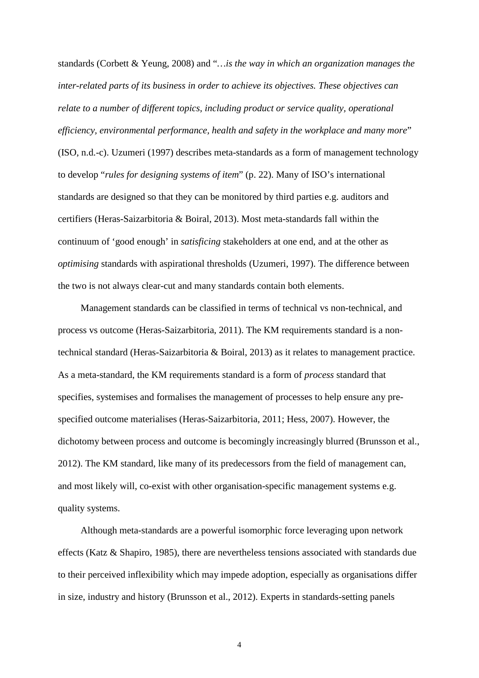standards (Corbett & Yeung, 2008) and "*…is the way in which an organization manages the inter-related parts of its business in order to achieve its objectives. These objectives can relate to a number of different topics, including product or service quality, operational efficiency, environmental performance, health and safety in the workplace and many more*" (ISO, n.d.-c). Uzumeri (1997) describes meta-standards as a form of management technology to develop "*rules for designing systems of item*" (p. 22). Many of ISO's international standards are designed so that they can be monitored by third parties e.g. auditors and certifiers (Heras-Saizarbitoria & Boiral, 2013). Most meta-standards fall within the continuum of 'good enough' in *satisficing* stakeholders at one end, and at the other as *optimising* standards with aspirational thresholds (Uzumeri, 1997). The difference between the two is not always clear-cut and many standards contain both elements.

Management standards can be classified in terms of technical vs non-technical, and process vs outcome (Heras-Saizarbitoria, 2011). The KM requirements standard is a nontechnical standard (Heras-Saizarbitoria & Boiral, 2013) as it relates to management practice. As a meta-standard, the KM requirements standard is a form of *process* standard that specifies, systemises and formalises the management of processes to help ensure any prespecified outcome materialises (Heras-Saizarbitoria, 2011; Hess, 2007). However, the dichotomy between process and outcome is becomingly increasingly blurred (Brunsson et al., 2012). The KM standard, like many of its predecessors from the field of management can, and most likely will, co-exist with other organisation-specific management systems e.g. quality systems.

Although meta-standards are a powerful isomorphic force leveraging upon network effects (Katz & Shapiro, 1985), there are nevertheless tensions associated with standards due to their perceived inflexibility which may impede adoption, especially as organisations differ in size, industry and history (Brunsson et al., 2012). Experts in standards-setting panels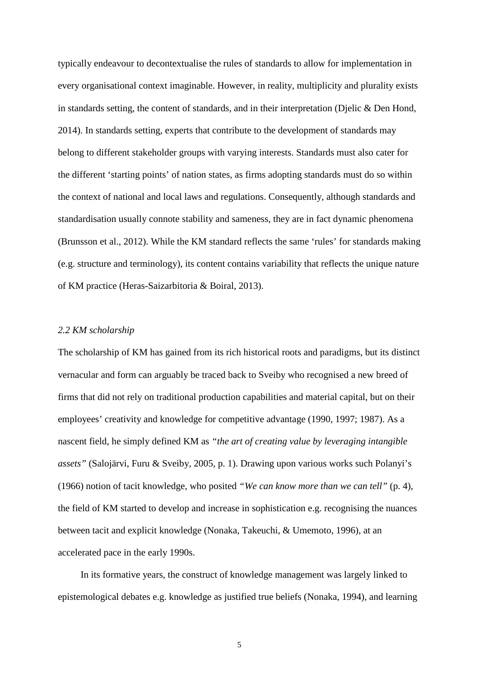typically endeavour to decontextualise the rules of standards to allow for implementation in every organisational context imaginable. However, in reality, multiplicity and plurality exists in standards setting, the content of standards, and in their interpretation (Djelic & Den Hond, 2014). In standards setting, experts that contribute to the development of standards may belong to different stakeholder groups with varying interests. Standards must also cater for the different 'starting points' of nation states, as firms adopting standards must do so within the context of national and local laws and regulations. Consequently, although standards and standardisation usually connote stability and sameness, they are in fact dynamic phenomena (Brunsson et al., 2012). While the KM standard reflects the same 'rules' for standards making (e.g. structure and terminology), its content contains variability that reflects the unique nature of KM practice (Heras-Saizarbitoria & Boiral, 2013).

#### *2.2 KM scholarship*

The scholarship of KM has gained from its rich historical roots and paradigms, but its distinct vernacular and form can arguably be traced back to Sveiby who recognised a new breed of firms that did not rely on traditional production capabilities and material capital, but on their employees' creativity and knowledge for competitive advantage (1990, 1997; 1987). As a nascent field, he simply defined KM as *"the art of creating value by leveraging intangible assets"* (Salojärvi, Furu & Sveiby, 2005, p. 1). Drawing upon various works such Polanyi's (1966) notion of tacit knowledge, who posited *"We can know more than we can tell"* (p. 4), the field of KM started to develop and increase in sophistication e.g. recognising the nuances between tacit and explicit knowledge (Nonaka, Takeuchi, & Umemoto, 1996), at an accelerated pace in the early 1990s.

In its formative years, the construct of knowledge management was largely linked to epistemological debates e.g. knowledge as justified true beliefs (Nonaka, 1994), and learning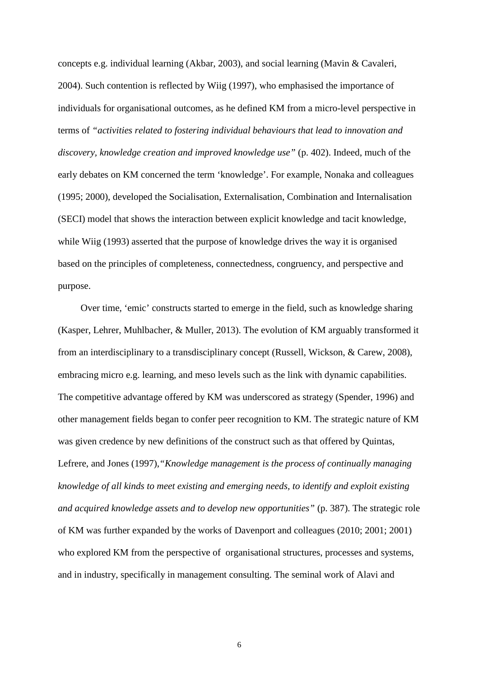concepts e.g. individual learning (Akbar, 2003), and social learning (Mavin & Cavaleri, 2004). Such contention is reflected by Wiig (1997), who emphasised the importance of individuals for organisational outcomes, as he defined KM from a micro-level perspective in terms of *"activities related to fostering individual behaviours that lead to innovation and discovery, knowledge creation and improved knowledge use"* (p. 402). Indeed, much of the early debates on KM concerned the term 'knowledge'. For example, Nonaka and colleagues (1995; 2000), developed the Socialisation, Externalisation, Combination and Internalisation (SECI) model that shows the interaction between explicit knowledge and tacit knowledge, while Wiig (1993) asserted that the purpose of knowledge drives the way it is organised based on the principles of completeness, connectedness, congruency, and perspective and purpose.

Over time, 'emic' constructs started to emerge in the field, such as knowledge sharing (Kasper, Lehrer, Muhlbacher, & Muller, 2013). The evolution of KM arguably transformed it from an interdisciplinary to a transdisciplinary concept (Russell, Wickson, & Carew, 2008), embracing micro e.g. learning, and meso levels such as the link with dynamic capabilities. The competitive advantage offered by KM was underscored as strategy (Spender, 1996) and other management fields began to confer peer recognition to KM. The strategic nature of KM was given credence by new definitions of the construct such as that offered by Quintas, Lefrere, and Jones (1997),*"Knowledge management is the process of continually managing knowledge of all kinds to meet existing and emerging needs, to identify and exploit existing and acquired knowledge assets and to develop new opportunities"* (p. 387). The strategic role of KM was further expanded by the works of Davenport and colleagues (2010; 2001; 2001) who explored KM from the perspective of organisational structures, processes and systems, and in industry, specifically in management consulting. The seminal work of Alavi and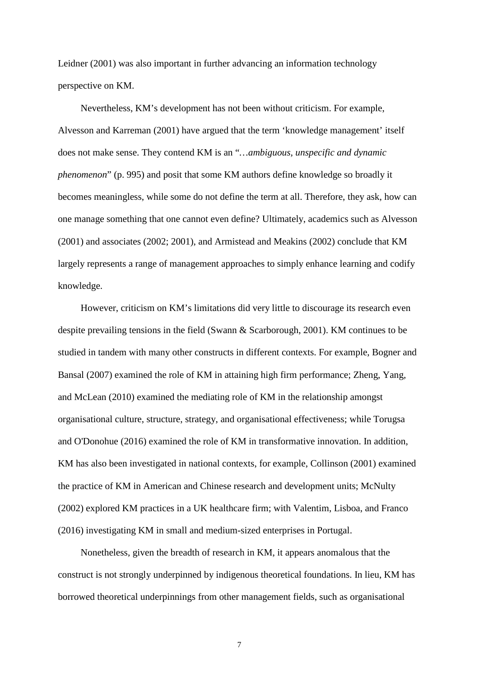Leidner (2001) was also important in further advancing an information technology perspective on KM.

Nevertheless, KM's development has not been without criticism. For example, Alvesson and Karreman (2001) have argued that the term 'knowledge management' itself does not make sense. They contend KM is an "*…ambiguous, unspecific and dynamic phenomenon*" (p. 995) and posit that some KM authors define knowledge so broadly it becomes meaningless, while some do not define the term at all. Therefore, they ask, how can one manage something that one cannot even define? Ultimately, academics such as Alvesson (2001) and associates (2002; 2001), and Armistead and Meakins (2002) conclude that KM largely represents a range of management approaches to simply enhance learning and codify knowledge.

However, criticism on KM's limitations did very little to discourage its research even despite prevailing tensions in the field (Swann & Scarborough, 2001). KM continues to be studied in tandem with many other constructs in different contexts. For example, Bogner and Bansal (2007) examined the role of KM in attaining high firm performance; Zheng, Yang, and McLean (2010) examined the mediating role of KM in the relationship amongst organisational culture, structure, strategy, and organisational effectiveness; while Torugsa and O'Donohue (2016) examined the role of KM in transformative innovation. In addition, KM has also been investigated in national contexts, for example, Collinson (2001) examined the practice of KM in American and Chinese research and development units; McNulty (2002) explored KM practices in a UK healthcare firm; with Valentim, Lisboa, and Franco (2016) investigating KM in small and medium-sized enterprises in Portugal.

Nonetheless, given the breadth of research in KM, it appears anomalous that the construct is not strongly underpinned by indigenous theoretical foundations. In lieu, KM has borrowed theoretical underpinnings from other management fields, such as organisational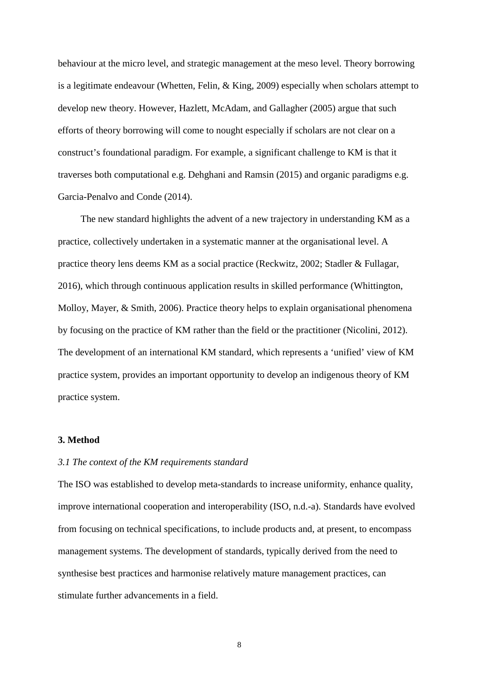behaviour at the micro level, and strategic management at the meso level. Theory borrowing is a legitimate endeavour (Whetten, Felin, & King, 2009) especially when scholars attempt to develop new theory. However, Hazlett, McAdam, and Gallagher (2005) argue that such efforts of theory borrowing will come to nought especially if scholars are not clear on a construct's foundational paradigm. For example, a significant challenge to KM is that it traverses both computational e.g. Dehghani and Ramsin (2015) and organic paradigms e.g. Garcia-Penalvo and Conde (2014).

The new standard highlights the advent of a new trajectory in understanding KM as a practice, collectively undertaken in a systematic manner at the organisational level. A practice theory lens deems KM as a social practice (Reckwitz, 2002; Stadler & Fullagar, 2016), which through continuous application results in skilled performance (Whittington, Molloy, Mayer, & Smith, 2006). Practice theory helps to explain organisational phenomena by focusing on the practice of KM rather than the field or the practitioner (Nicolini, 2012). The development of an international KM standard, which represents a 'unified' view of KM practice system, provides an important opportunity to develop an indigenous theory of KM practice system.

#### **3. Method**

#### *3.1 The context of the KM requirements standard*

The ISO was established to develop meta-standards to increase uniformity, enhance quality, improve international cooperation and interoperability (ISO, n.d.-a). Standards have evolved from focusing on technical specifications, to include products and, at present, to encompass management systems. The development of standards, typically derived from the need to synthesise best practices and harmonise relatively mature management practices, can stimulate further advancements in a field.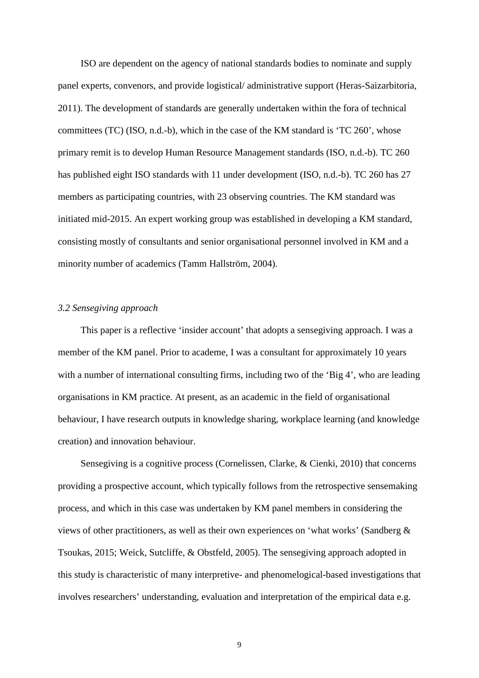ISO are dependent on the agency of national standards bodies to nominate and supply panel experts, convenors, and provide logistical/ administrative support (Heras-Saizarbitoria, 2011). The development of standards are generally undertaken within the fora of technical committees (TC) (ISO, n.d.-b), which in the case of the KM standard is 'TC 260', whose primary remit is to develop Human Resource Management standards (ISO, n.d.-b). TC 260 has published eight ISO standards with 11 under development (ISO, n.d.-b). TC 260 has 27 members as participating countries, with 23 observing countries. The KM standard was initiated mid-2015. An expert working group was established in developing a KM standard, consisting mostly of consultants and senior organisational personnel involved in KM and a minority number of academics (Tamm Hallström, 2004).

#### *3.2 Sensegiving approach*

This paper is a reflective 'insider account' that adopts a sensegiving approach. I was a member of the KM panel. Prior to academe, I was a consultant for approximately 10 years with a number of international consulting firms, including two of the 'Big 4', who are leading organisations in KM practice. At present, as an academic in the field of organisational behaviour, I have research outputs in knowledge sharing, workplace learning (and knowledge creation) and innovation behaviour.

Sensegiving is a cognitive process (Cornelissen, Clarke, & Cienki, 2010) that concerns providing a prospective account, which typically follows from the retrospective sensemaking process, and which in this case was undertaken by KM panel members in considering the views of other practitioners, as well as their own experiences on 'what works' (Sandberg & Tsoukas, 2015; Weick, Sutcliffe, & Obstfeld, 2005). The sensegiving approach adopted in this study is characteristic of many interpretive- and phenomelogical-based investigations that involves researchers' understanding, evaluation and interpretation of the empirical data e.g.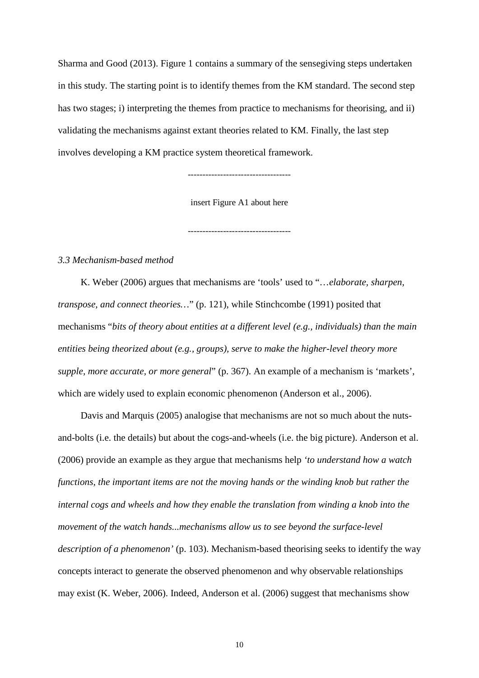Sharma and Good (2013). Figure 1 contains a summary of the sensegiving steps undertaken in this study. The starting point is to identify themes from the KM standard. The second step has two stages; i) interpreting the themes from practice to mechanisms for theorising, and ii) validating the mechanisms against extant theories related to KM. Finally, the last step involves developing a KM practice system theoretical framework.

-----------------------------------

insert Figure A1 about here

-----------------------------------

#### *3.3 Mechanism-based method*

K. Weber (2006) argues that mechanisms are 'tools' used to "…*elaborate, sharpen, transpose, and connect theories...*" (p. 121), while Stinchcombe (1991) posited that mechanisms "*bits of theory about entities at a different level (e.g., individuals) than the main entities being theorized about (e.g., groups), serve to make the higher-level theory more supple, more accurate, or more general*" (p. 367). An example of a mechanism is 'markets', which are widely used to explain economic phenomenon (Anderson et al., 2006).

Davis and Marquis (2005) analogise that mechanisms are not so much about the nutsand-bolts (i.e. the details) but about the cogs-and-wheels (i.e. the big picture). Anderson et al. (2006) provide an example as they argue that mechanisms help *'to understand how a watch functions, the important items are not the moving hands or the winding knob but rather the internal cogs and wheels and how they enable the translation from winding a knob into the movement of the watch hands...mechanisms allow us to see beyond the surface-level description of a phenomenon'* (p. 103). Mechanism-based theorising seeks to identify the way concepts interact to generate the observed phenomenon and why observable relationships may exist (K. Weber, 2006). Indeed, Anderson et al. (2006) suggest that mechanisms show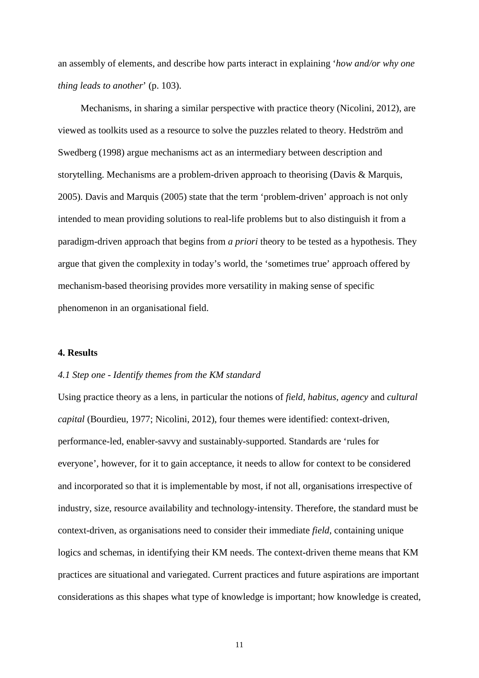an assembly of elements, and describe how parts interact in explaining '*how and/or why one thing leads to another*' (p. 103).

Mechanisms, in sharing a similar perspective with practice theory (Nicolini, 2012), are viewed as toolkits used as a resource to solve the puzzles related to theory. Hedström and Swedberg (1998) argue mechanisms act as an intermediary between description and storytelling. Mechanisms are a problem-driven approach to theorising (Davis & Marquis, 2005). Davis and Marquis (2005) state that the term 'problem-driven' approach is not only intended to mean providing solutions to real-life problems but to also distinguish it from a paradigm-driven approach that begins from *a priori* theory to be tested as a hypothesis. They argue that given the complexity in today's world, the 'sometimes true' approach offered by mechanism-based theorising provides more versatility in making sense of specific phenomenon in an organisational field.

#### **4. Results**

#### *4.1 Step one - Identify themes from the KM standard*

Using practice theory as a lens, in particular the notions of *field*, *habitus*, *agency* and *cultural capital* (Bourdieu, 1977; Nicolini, 2012), four themes were identified: context-driven, performance-led, enabler-savvy and sustainably-supported. Standards are 'rules for everyone', however, for it to gain acceptance, it needs to allow for context to be considered and incorporated so that it is implementable by most, if not all, organisations irrespective of industry, size, resource availability and technology-intensity. Therefore, the standard must be context-driven, as organisations need to consider their immediate *field*, containing unique logics and schemas, in identifying their KM needs. The context-driven theme means that KM practices are situational and variegated. Current practices and future aspirations are important considerations as this shapes what type of knowledge is important; how knowledge is created,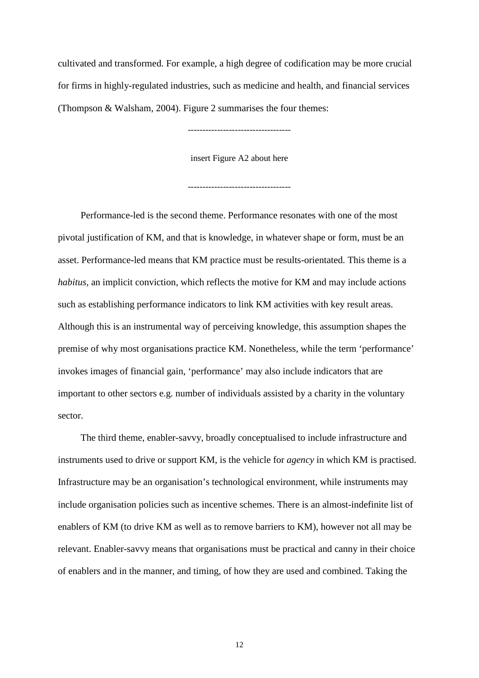cultivated and transformed. For example, a high degree of codification may be more crucial for firms in highly-regulated industries, such as medicine and health, and financial services (Thompson & Walsham, 2004). Figure 2 summarises the four themes:

-----------------------------------

insert Figure A2 about here

-----------------------------------

Performance-led is the second theme. Performance resonates with one of the most pivotal justification of KM, and that is knowledge, in whatever shape or form, must be an asset. Performance-led means that KM practice must be results-orientated. This theme is a *habitus,* an implicit conviction*,* which reflects the motive for KM and may include actions such as establishing performance indicators to link KM activities with key result areas. Although this is an instrumental way of perceiving knowledge, this assumption shapes the premise of why most organisations practice KM. Nonetheless, while the term 'performance' invokes images of financial gain, 'performance' may also include indicators that are important to other sectors e.g. number of individuals assisted by a charity in the voluntary sector.

The third theme, enabler-savvy, broadly conceptualised to include infrastructure and instruments used to drive or support KM, is the vehicle for *agency* in which KM is practised. Infrastructure may be an organisation's technological environment, while instruments may include organisation policies such as incentive schemes. There is an almost-indefinite list of enablers of KM (to drive KM as well as to remove barriers to KM), however not all may be relevant. Enabler-savvy means that organisations must be practical and canny in their choice of enablers and in the manner, and timing, of how they are used and combined. Taking the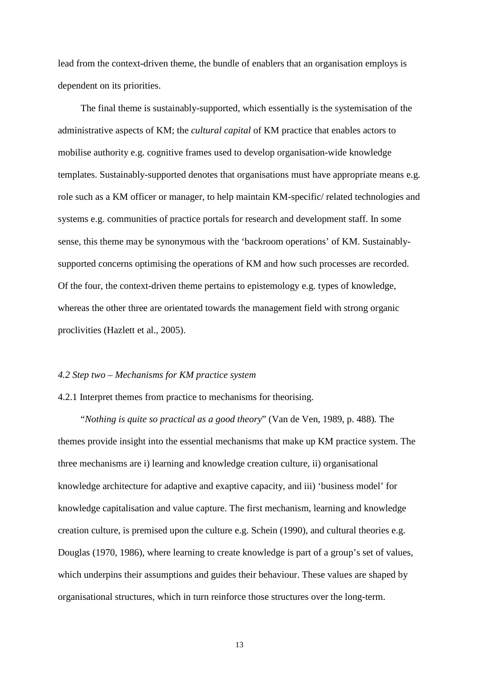lead from the context-driven theme, the bundle of enablers that an organisation employs is dependent on its priorities.

The final theme is sustainably-supported, which essentially is the systemisation of the administrative aspects of KM; the *cultural capital* of KM practice that enables actors to mobilise authority e.g. cognitive frames used to develop organisation-wide knowledge templates. Sustainably-supported denotes that organisations must have appropriate means e.g. role such as a KM officer or manager, to help maintain KM-specific/ related technologies and systems e.g. communities of practice portals for research and development staff. In some sense, this theme may be synonymous with the 'backroom operations' of KM. Sustainablysupported concerns optimising the operations of KM and how such processes are recorded. Of the four, the context-driven theme pertains to epistemology e.g. types of knowledge, whereas the other three are orientated towards the management field with strong organic proclivities (Hazlett et al., 2005).

#### *4.2 Step two – Mechanisms for KM practice system*

#### 4.2.1 Interpret themes from practice to mechanisms for theorising.

"*Nothing is quite so practical as a good theory*" (Van de Ven, 1989, p. 488)*.* The themes provide insight into the essential mechanisms that make up KM practice system. The three mechanisms are i) learning and knowledge creation culture, ii) organisational knowledge architecture for adaptive and exaptive capacity, and iii) 'business model' for knowledge capitalisation and value capture. The first mechanism, learning and knowledge creation culture, is premised upon the culture e.g. Schein (1990), and cultural theories e.g. Douglas (1970, 1986), where learning to create knowledge is part of a group's set of values, which underpins their assumptions and guides their behaviour. These values are shaped by organisational structures, which in turn reinforce those structures over the long-term.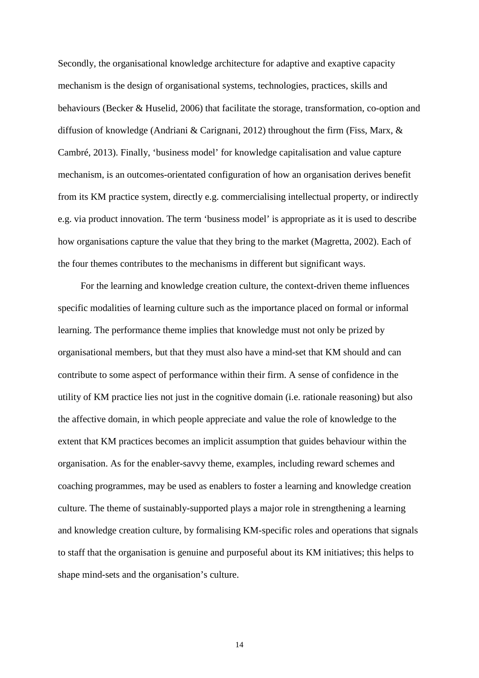Secondly, the organisational knowledge architecture for adaptive and exaptive capacity mechanism is the design of organisational systems, technologies, practices, skills and behaviours (Becker & Huselid, 2006) that facilitate the storage, transformation, co-option and diffusion of knowledge (Andriani & Carignani, 2012) throughout the firm (Fiss, Marx, & Cambré, 2013). Finally, 'business model' for knowledge capitalisation and value capture mechanism, is an outcomes-orientated configuration of how an organisation derives benefit from its KM practice system, directly e.g. commercialising intellectual property, or indirectly e.g. via product innovation. The term 'business model' is appropriate as it is used to describe how organisations capture the value that they bring to the market (Magretta, 2002). Each of the four themes contributes to the mechanisms in different but significant ways.

For the learning and knowledge creation culture, the context-driven theme influences specific modalities of learning culture such as the importance placed on formal or informal learning. The performance theme implies that knowledge must not only be prized by organisational members, but that they must also have a mind-set that KM should and can contribute to some aspect of performance within their firm. A sense of confidence in the utility of KM practice lies not just in the cognitive domain (i.e. rationale reasoning) but also the affective domain, in which people appreciate and value the role of knowledge to the extent that KM practices becomes an implicit assumption that guides behaviour within the organisation. As for the enabler-savvy theme, examples, including reward schemes and coaching programmes, may be used as enablers to foster a learning and knowledge creation culture. The theme of sustainably-supported plays a major role in strengthening a learning and knowledge creation culture, by formalising KM-specific roles and operations that signals to staff that the organisation is genuine and purposeful about its KM initiatives; this helps to shape mind-sets and the organisation's culture.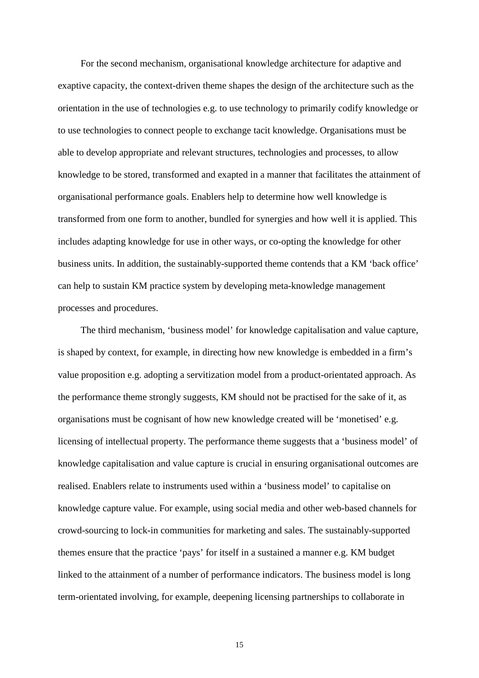For the second mechanism, organisational knowledge architecture for adaptive and exaptive capacity, the context-driven theme shapes the design of the architecture such as the orientation in the use of technologies e.g. to use technology to primarily codify knowledge or to use technologies to connect people to exchange tacit knowledge. Organisations must be able to develop appropriate and relevant structures, technologies and processes, to allow knowledge to be stored, transformed and exapted in a manner that facilitates the attainment of organisational performance goals. Enablers help to determine how well knowledge is transformed from one form to another, bundled for synergies and how well it is applied. This includes adapting knowledge for use in other ways, or co-opting the knowledge for other business units. In addition, the sustainably-supported theme contends that a KM 'back office' can help to sustain KM practice system by developing meta-knowledge management processes and procedures.

The third mechanism, 'business model' for knowledge capitalisation and value capture, is shaped by context, for example, in directing how new knowledge is embedded in a firm's value proposition e.g. adopting a servitization model from a product-orientated approach. As the performance theme strongly suggests, KM should not be practised for the sake of it, as organisations must be cognisant of how new knowledge created will be 'monetised' e.g. licensing of intellectual property. The performance theme suggests that a 'business model' of knowledge capitalisation and value capture is crucial in ensuring organisational outcomes are realised. Enablers relate to instruments used within a 'business model' to capitalise on knowledge capture value. For example, using social media and other web-based channels for crowd-sourcing to lock-in communities for marketing and sales. The sustainably-supported themes ensure that the practice 'pays' for itself in a sustained a manner e.g. KM budget linked to the attainment of a number of performance indicators. The business model is long term-orientated involving, for example, deepening licensing partnerships to collaborate in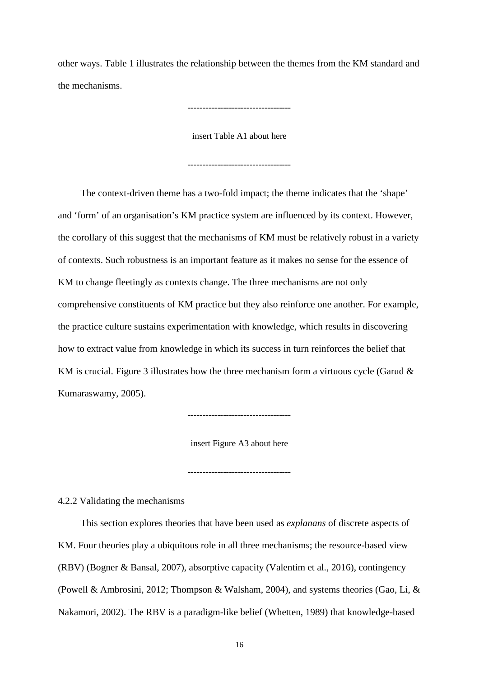other ways. Table 1 illustrates the relationship between the themes from the KM standard and the mechanisms.

-----------------------------------

insert Table A1 about here

-----------------------------------

The context-driven theme has a two-fold impact; the theme indicates that the 'shape' and 'form' of an organisation's KM practice system are influenced by its context. However, the corollary of this suggest that the mechanisms of KM must be relatively robust in a variety of contexts. Such robustness is an important feature as it makes no sense for the essence of KM to change fleetingly as contexts change. The three mechanisms are not only comprehensive constituents of KM practice but they also reinforce one another. For example, the practice culture sustains experimentation with knowledge, which results in discovering how to extract value from knowledge in which its success in turn reinforces the belief that KM is crucial. Figure 3 illustrates how the three mechanism form a virtuous cycle (Garud  $\&$ Kumaraswamy, 2005).

 $-$ 

insert Figure A3 about here

-----------------------------------

4.2.2 Validating the mechanisms

This section explores theories that have been used as *explanans* of discrete aspects of KM. Four theories play a ubiquitous role in all three mechanisms; the resource-based view (RBV) (Bogner & Bansal, 2007), absorptive capacity (Valentim et al., 2016), contingency (Powell & Ambrosini, 2012; Thompson & Walsham, 2004), and systems theories (Gao, Li, & Nakamori, 2002). The RBV is a paradigm-like belief (Whetten, 1989) that knowledge-based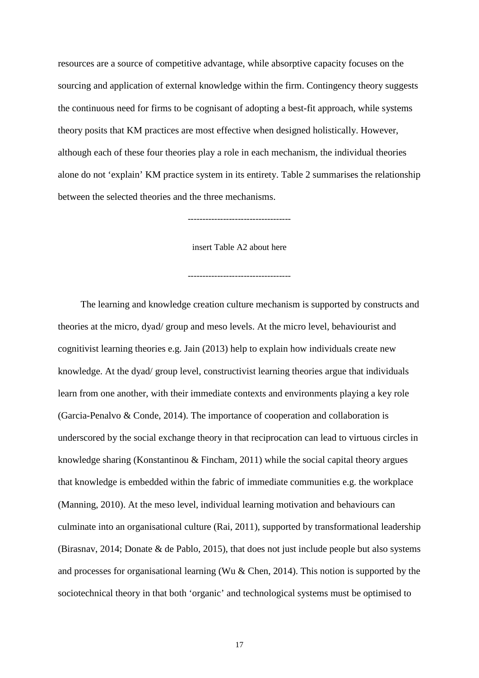resources are a source of competitive advantage, while absorptive capacity focuses on the sourcing and application of external knowledge within the firm. Contingency theory suggests the continuous need for firms to be cognisant of adopting a best-fit approach, while systems theory posits that KM practices are most effective when designed holistically. However, although each of these four theories play a role in each mechanism, the individual theories alone do not 'explain' KM practice system in its entirety. Table 2 summarises the relationship between the selected theories and the three mechanisms.

-----------------------------------

insert Table A2 about here

-----------------------------------

The learning and knowledge creation culture mechanism is supported by constructs and theories at the micro, dyad/ group and meso levels. At the micro level, behaviourist and cognitivist learning theories e.g. Jain (2013) help to explain how individuals create new knowledge. At the dyad/ group level, constructivist learning theories argue that individuals learn from one another, with their immediate contexts and environments playing a key role (Garcia-Penalvo & Conde, 2014). The importance of cooperation and collaboration is underscored by the social exchange theory in that reciprocation can lead to virtuous circles in knowledge sharing (Konstantinou & Fincham, 2011) while the social capital theory argues that knowledge is embedded within the fabric of immediate communities e.g. the workplace (Manning, 2010). At the meso level, individual learning motivation and behaviours can culminate into an organisational culture (Rai, 2011), supported by transformational leadership (Birasnav, 2014; Donate & de Pablo, 2015), that does not just include people but also systems and processes for organisational learning (Wu & Chen, 2014). This notion is supported by the sociotechnical theory in that both 'organic' and technological systems must be optimised to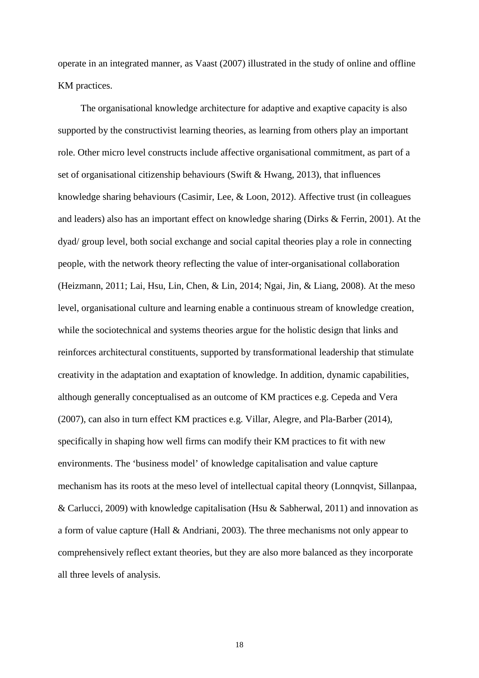operate in an integrated manner, as Vaast (2007) illustrated in the study of online and offline KM practices.

The organisational knowledge architecture for adaptive and exaptive capacity is also supported by the constructivist learning theories, as learning from others play an important role. Other micro level constructs include affective organisational commitment, as part of a set of organisational citizenship behaviours (Swift & Hwang, 2013), that influences knowledge sharing behaviours (Casimir, Lee, & Loon, 2012). Affective trust (in colleagues and leaders) also has an important effect on knowledge sharing (Dirks & Ferrin, 2001). At the dyad/ group level, both social exchange and social capital theories play a role in connecting people, with the network theory reflecting the value of inter-organisational collaboration (Heizmann, 2011; Lai, Hsu, Lin, Chen, & Lin, 2014; Ngai, Jin, & Liang, 2008). At the meso level, organisational culture and learning enable a continuous stream of knowledge creation, while the sociotechnical and systems theories argue for the holistic design that links and reinforces architectural constituents, supported by transformational leadership that stimulate creativity in the adaptation and exaptation of knowledge. In addition, dynamic capabilities, although generally conceptualised as an outcome of KM practices e.g. Cepeda and Vera (2007), can also in turn effect KM practices e.g. Villar, Alegre, and Pla-Barber (2014), specifically in shaping how well firms can modify their KM practices to fit with new environments. The 'business model' of knowledge capitalisation and value capture mechanism has its roots at the meso level of intellectual capital theory (Lonnqvist, Sillanpaa, & Carlucci, 2009) with knowledge capitalisation (Hsu & Sabherwal, 2011) and innovation as a form of value capture (Hall & Andriani, 2003). The three mechanisms not only appear to comprehensively reflect extant theories, but they are also more balanced as they incorporate all three levels of analysis.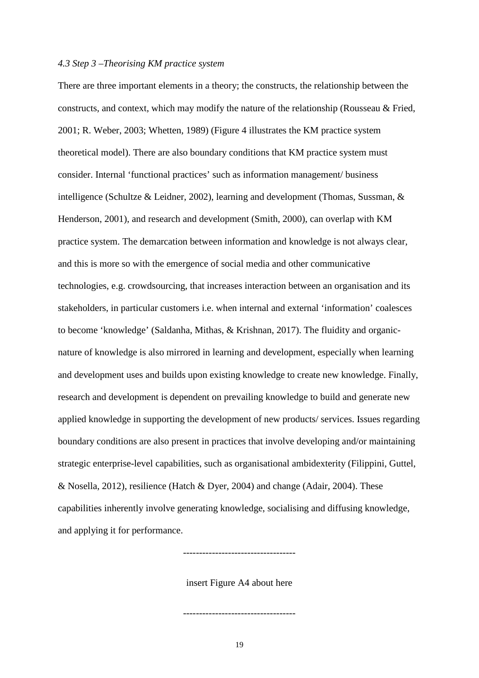#### *4.3 Step 3 –Theorising KM practice system*

There are three important elements in a theory; the constructs, the relationship between the constructs, and context, which may modify the nature of the relationship (Rousseau & Fried, 2001; R. Weber, 2003; Whetten, 1989) (Figure 4 illustrates the KM practice system theoretical model). There are also boundary conditions that KM practice system must consider. Internal 'functional practices' such as information management/ business intelligence (Schultze & Leidner, 2002), learning and development (Thomas, Sussman, & Henderson, 2001), and research and development (Smith, 2000), can overlap with KM practice system. The demarcation between information and knowledge is not always clear, and this is more so with the emergence of social media and other communicative technologies, e.g. crowdsourcing, that increases interaction between an organisation and its stakeholders, in particular customers i.e. when internal and external 'information' coalesces to become 'knowledge' (Saldanha, Mithas, & Krishnan, 2017). The fluidity and organicnature of knowledge is also mirrored in learning and development, especially when learning and development uses and builds upon existing knowledge to create new knowledge. Finally, research and development is dependent on prevailing knowledge to build and generate new applied knowledge in supporting the development of new products/ services. Issues regarding boundary conditions are also present in practices that involve developing and/or maintaining strategic enterprise-level capabilities, such as organisational ambidexterity (Filippini, Guttel, & Nosella, 2012), resilience (Hatch & Dyer, 2004) and change (Adair, 2004). These capabilities inherently involve generating knowledge, socialising and diffusing knowledge, and applying it for performance.

insert Figure A4 about here

-----------------------------------

-----------------------------------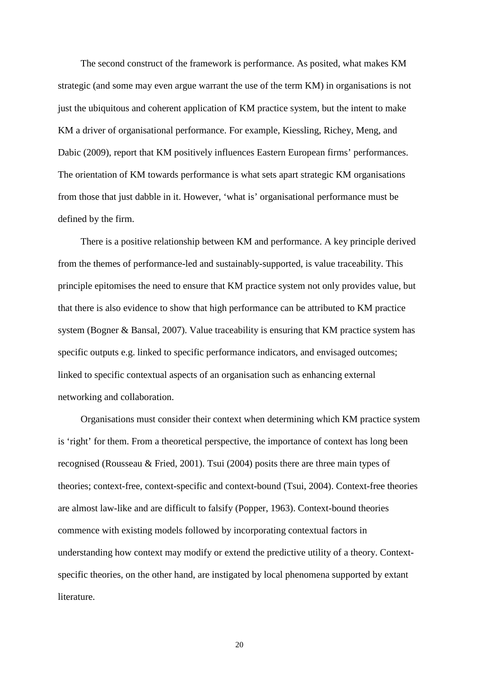The second construct of the framework is performance. As posited, what makes KM strategic (and some may even argue warrant the use of the term KM) in organisations is not just the ubiquitous and coherent application of KM practice system, but the intent to make KM a driver of organisational performance. For example, Kiessling, Richey, Meng, and Dabic (2009), report that KM positively influences Eastern European firms' performances. The orientation of KM towards performance is what sets apart strategic KM organisations from those that just dabble in it. However, 'what is' organisational performance must be defined by the firm.

There is a positive relationship between KM and performance. A key principle derived from the themes of performance-led and sustainably-supported, is value traceability. This principle epitomises the need to ensure that KM practice system not only provides value, but that there is also evidence to show that high performance can be attributed to KM practice system (Bogner & Bansal, 2007). Value traceability is ensuring that KM practice system has specific outputs e.g. linked to specific performance indicators, and envisaged outcomes; linked to specific contextual aspects of an organisation such as enhancing external networking and collaboration.

Organisations must consider their context when determining which KM practice system is 'right' for them. From a theoretical perspective, the importance of context has long been recognised (Rousseau & Fried, 2001). Tsui (2004) posits there are three main types of theories; context-free, context-specific and context-bound (Tsui, 2004). Context-free theories are almost law-like and are difficult to falsify (Popper, 1963). Context-bound theories commence with existing models followed by incorporating contextual factors in understanding how context may modify or extend the predictive utility of a theory. Contextspecific theories, on the other hand, are instigated by local phenomena supported by extant literature.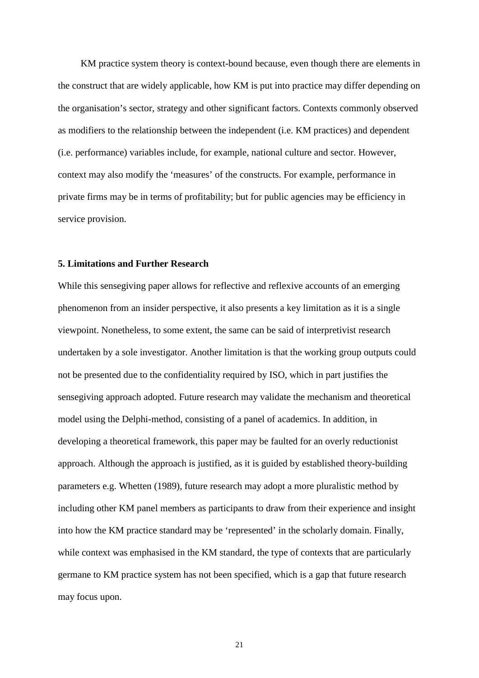KM practice system theory is context-bound because, even though there are elements in the construct that are widely applicable, how KM is put into practice may differ depending on the organisation's sector, strategy and other significant factors. Contexts commonly observed as modifiers to the relationship between the independent (i.e. KM practices) and dependent (i.e. performance) variables include, for example, national culture and sector. However, context may also modify the 'measures' of the constructs. For example, performance in private firms may be in terms of profitability; but for public agencies may be efficiency in service provision.

#### **5. Limitations and Further Research**

While this sensegiving paper allows for reflective and reflexive accounts of an emerging phenomenon from an insider perspective, it also presents a key limitation as it is a single viewpoint. Nonetheless, to some extent, the same can be said of interpretivist research undertaken by a sole investigator. Another limitation is that the working group outputs could not be presented due to the confidentiality required by ISO, which in part justifies the sensegiving approach adopted. Future research may validate the mechanism and theoretical model using the Delphi-method, consisting of a panel of academics. In addition, in developing a theoretical framework, this paper may be faulted for an overly reductionist approach. Although the approach is justified, as it is guided by established theory-building parameters e.g. Whetten (1989), future research may adopt a more pluralistic method by including other KM panel members as participants to draw from their experience and insight into how the KM practice standard may be 'represented' in the scholarly domain. Finally, while context was emphasised in the KM standard, the type of contexts that are particularly germane to KM practice system has not been specified, which is a gap that future research may focus upon.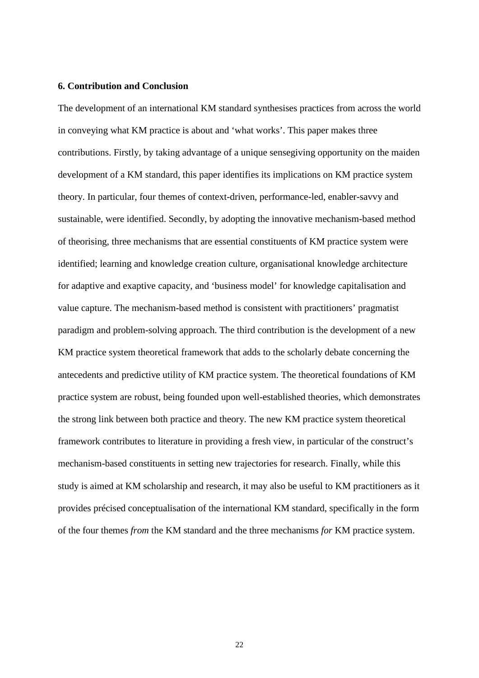#### **6. Contribution and Conclusion**

The development of an international KM standard synthesises practices from across the world in conveying what KM practice is about and 'what works'. This paper makes three contributions. Firstly, by taking advantage of a unique sensegiving opportunity on the maiden development of a KM standard, this paper identifies its implications on KM practice system theory. In particular, four themes of context-driven, performance-led, enabler-savvy and sustainable, were identified. Secondly, by adopting the innovative mechanism-based method of theorising, three mechanisms that are essential constituents of KM practice system were identified; learning and knowledge creation culture, organisational knowledge architecture for adaptive and exaptive capacity, and 'business model' for knowledge capitalisation and value capture. The mechanism-based method is consistent with practitioners' pragmatist paradigm and problem-solving approach. The third contribution is the development of a new KM practice system theoretical framework that adds to the scholarly debate concerning the antecedents and predictive utility of KM practice system. The theoretical foundations of KM practice system are robust, being founded upon well-established theories, which demonstrates the strong link between both practice and theory. The new KM practice system theoretical framework contributes to literature in providing a fresh view, in particular of the construct's mechanism-based constituents in setting new trajectories for research. Finally, while this study is aimed at KM scholarship and research, it may also be useful to KM practitioners as it provides précised conceptualisation of the international KM standard, specifically in the form of the four themes *from* the KM standard and the three mechanisms *for* KM practice system.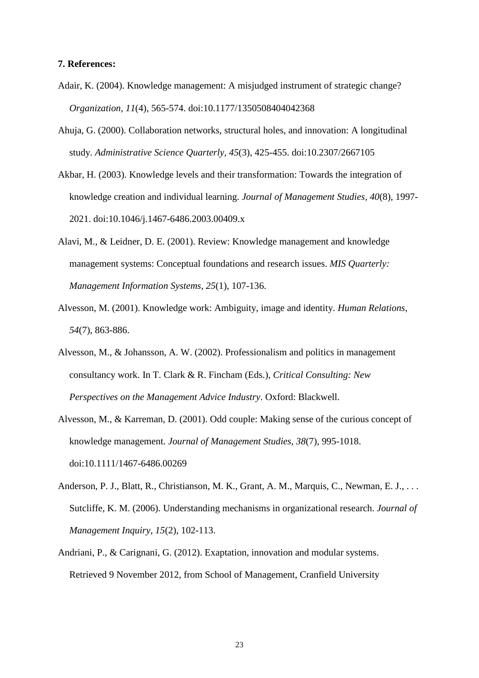#### **7. References:**

- Adair, K. (2004). Knowledge management: A misjudged instrument of strategic change? *Organization, 11*(4), 565-574. doi:10.1177/1350508404042368
- Ahuja, G. (2000). Collaboration networks, structural holes, and innovation: A longitudinal study. *Administrative Science Quarterly, 45*(3), 425-455. doi:10.2307/2667105
- Akbar, H. (2003). Knowledge levels and their transformation: Towards the integration of knowledge creation and individual learning. *Journal of Management Studies, 40*(8), 1997- 2021. doi:10.1046/j.1467-6486.2003.00409.x
- Alavi, M., & Leidner, D. E. (2001). Review: Knowledge management and knowledge management systems: Conceptual foundations and research issues. *MIS Quarterly: Management Information Systems, 25*(1), 107-136.
- Alvesson, M. (2001). Knowledge work: Ambiguity, image and identity. *Human Relations, 54*(7), 863-886.
- Alvesson, M., & Johansson, A. W. (2002). Professionalism and politics in management consultancy work. In T. Clark & R. Fincham (Eds.), *Critical Consulting: New Perspectives on the Management Advice Industry*. Oxford: Blackwell.
- Alvesson, M., & Karreman, D. (2001). Odd couple: Making sense of the curious concept of knowledge management. *Journal of Management Studies, 38*(7), 995-1018. doi:10.1111/1467-6486.00269
- Anderson, P. J., Blatt, R., Christianson, M. K., Grant, A. M., Marquis, C., Newman, E. J., ... Sutcliffe, K. M. (2006). Understanding mechanisms in organizational research. *Journal of Management Inquiry, 15*(2), 102-113.
- Andriani, P., & Carignani, G. (2012). Exaptation, innovation and modular systems. Retrieved 9 November 2012, from School of Management, Cranfield University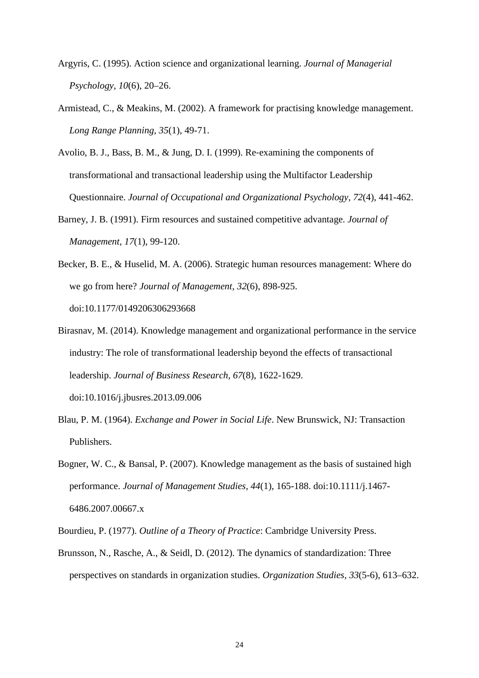- Argyris, C. (1995). Action science and organizational learning. *Journal of Managerial Psychology, 10*(6), 20–26.
- Armistead, C., & Meakins, M. (2002). A framework for practising knowledge management. *Long Range Planning, 35*(1), 49-71.

Avolio, B. J., Bass, B. M., & Jung, D. I. (1999). Re‐examining the components of transformational and transactional leadership using the Multifactor Leadership Questionnaire. *Journal of Occupational and Organizational Psychology, 72*(4), 441-462.

- Barney, J. B. (1991). Firm resources and sustained competitive advantage. *Journal of Management, 17*(1), 99-120.
- Becker, B. E., & Huselid, M. A. (2006). Strategic human resources management: Where do we go from here? *Journal of Management, 32*(6), 898-925. doi:10.1177/0149206306293668
- Birasnav, M. (2014). Knowledge management and organizational performance in the service industry: The role of transformational leadership beyond the effects of transactional leadership. *Journal of Business Research, 67*(8), 1622-1629. doi:10.1016/j.jbusres.2013.09.006
- Blau, P. M. (1964). *Exchange and Power in Social Life*. New Brunswick, NJ: Transaction Publishers.
- Bogner, W. C., & Bansal, P. (2007). Knowledge management as the basis of sustained high performance. *Journal of Management Studies, 44*(1), 165-188. doi:10.1111/j.1467- 6486.2007.00667.x
- Bourdieu, P. (1977). *Outline of a Theory of Practice*: Cambridge University Press.
- Brunsson, N., Rasche, A., & Seidl, D. (2012). The dynamics of standardization: Three perspectives on standards in organization studies. *Organization Studies, 33*(5-6), 613–632.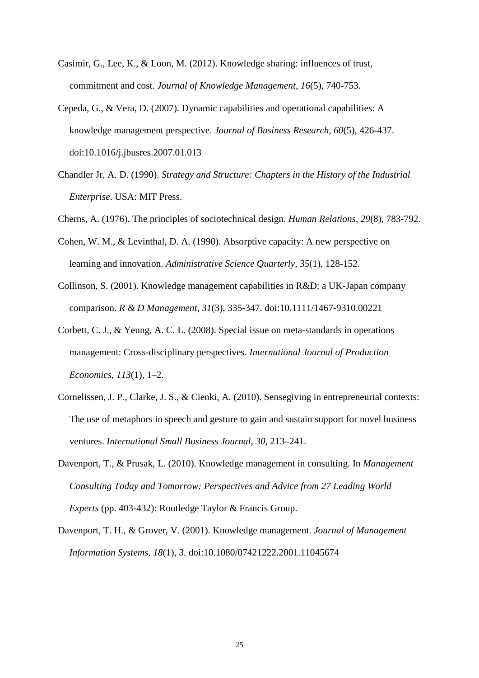- Casimir, G., Lee, K., & Loon, M. (2012). Knowledge sharing: influences of trust, commitment and cost. *Journal of Knowledge Management, 16*(5), 740-753.
- Cepeda, G., & Vera, D. (2007). Dynamic capabilities and operational capabilities: A knowledge management perspective. *Journal of Business Research, 60*(5), 426-437. doi:10.1016/j.jbusres.2007.01.013
- Chandler Jr, A. D. (1990). *Strategy and Structure: Chapters in the History of the Industrial Enterprise*. USA: MIT Press.
- Cherns, A. (1976). The principles of sociotechnical design. *Human Relations, 29*(8), 783-792.
- Cohen, W. M., & Levinthal, D. A. (1990). Absorptive capacity: A new perspective on learning and innovation. *Administrative Science Quarterly, 35*(1), 128-152.
- Collinson, S. (2001). Knowledge management capabilities in R&D: a UK-Japan company comparison. *R & D Management, 31*(3), 335-347. doi:10.1111/1467-9310.00221
- Corbett, C. J., & Yeung, A. C. L. (2008). Special issue on meta-standards in operations management: Cross-disciplinary perspectives. *International Journal of Production Economics, 113*(1), 1–2.
- Cornelissen, J. P., Clarke, J. S., & Cienki, A. (2010). Sensegiving in entrepreneurial contexts: The use of metaphors in speech and gesture to gain and sustain support for novel business ventures. *International Small Business Journal, 30*, 213–241.
- Davenport, T., & Prusak, L. (2010). Knowledge management in consulting. In *Management Consulting Today and Tomorrow: Perspectives and Advice from 27 Leading World Experts* (pp. 403-432): Routledge Taylor & Francis Group.
- Davenport, T. H., & Grover, V. (2001). Knowledge management. *Journal of Management Information Systems, 18*(1), 3. doi:10.1080/07421222.2001.11045674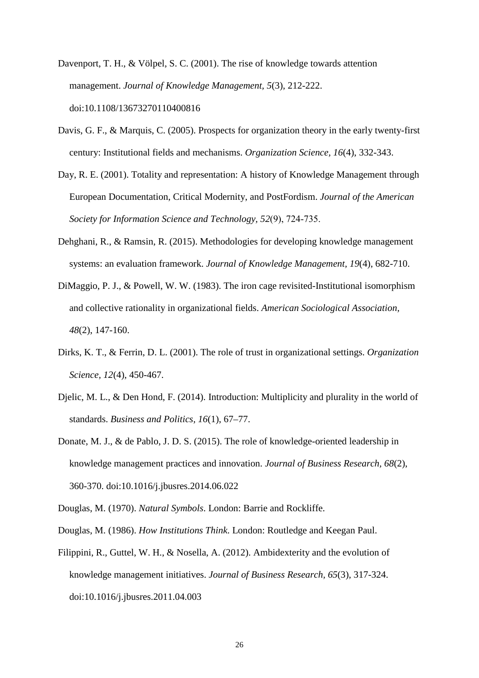- Davenport, T. H., & Völpel, S. C. (2001). The rise of knowledge towards attention management. *Journal of Knowledge Management, 5*(3), 212-222. doi:10.1108/13673270110400816
- Davis, G. F., & Marquis, C. (2005). Prospects for organization theory in the early twenty-first century: Institutional fields and mechanisms. *Organization Science, 16*(4), 332-343.
- Day, R. E. (2001). Totality and representation: A history of Knowledge Management through European Documentation, Critical Modernity, and PostFordism. *Journal of the American Society for Information Science and Technology, 52*(9), 724‐735.
- Dehghani, R., & Ramsin, R. (2015). Methodologies for developing knowledge management systems: an evaluation framework. *Journal of Knowledge Management, 19*(4), 682-710.
- DiMaggio, P. J., & Powell, W. W. (1983). The iron cage revisited-Institutional isomorphism and collective rationality in organizational fields. *American Sociological Association, 48*(2), 147-160.
- Dirks, K. T., & Ferrin, D. L. (2001). The role of trust in organizational settings. *Organization Science, 12*(4), 450-467.
- Djelic, M. L., & Den Hond, F. (2014). Introduction: Multiplicity and plurality in the world of standards. *Business and Politics, 16*(1), 67–77.
- Donate, M. J., & de Pablo, J. D. S. (2015). The role of knowledge-oriented leadership in knowledge management practices and innovation. *Journal of Business Research, 68*(2), 360-370. doi:10.1016/j.jbusres.2014.06.022
- Douglas, M. (1970). *Natural Symbols*. London: Barrie and Rockliffe.
- Douglas, M. (1986). *How Institutions Think*. London: Routledge and Keegan Paul.
- Filippini, R., Guttel, W. H., & Nosella, A. (2012). Ambidexterity and the evolution of knowledge management initiatives. *Journal of Business Research, 65*(3), 317-324. doi:10.1016/j.jbusres.2011.04.003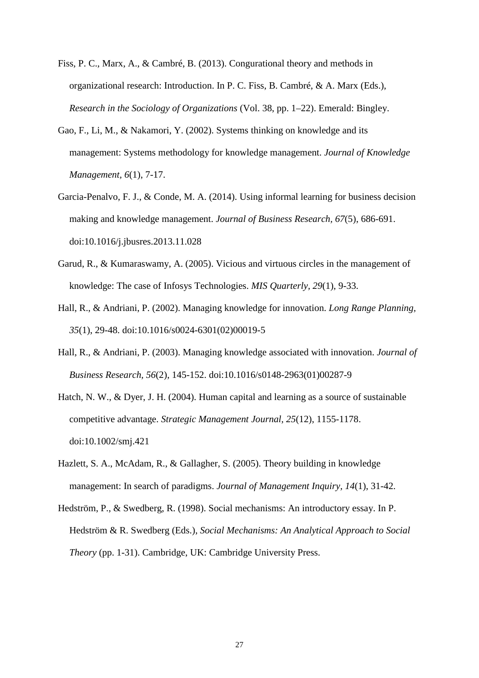- Fiss, P. C., Marx, A., & Cambré, B. (2013). Congurational theory and methods in organizational research: Introduction. In P. C. Fiss, B. Cambré, & A. Marx (Eds.), *Research in the Sociology of Organizations* (Vol. 38, pp. 1–22). Emerald: Bingley.
- Gao, F., Li, M., & Nakamori, Y. (2002). Systems thinking on knowledge and its management: Systems methodology for knowledge management. *Journal of Knowledge Management, 6*(1), 7-17.
- Garcia-Penalvo, F. J., & Conde, M. A. (2014). Using informal learning for business decision making and knowledge management. *Journal of Business Research, 67*(5), 686-691. doi:10.1016/j.jbusres.2013.11.028
- Garud, R., & Kumaraswamy, A. (2005). Vicious and virtuous circles in the management of knowledge: The case of Infosys Technologies. *MIS Quarterly, 29*(1), 9-33.
- Hall, R., & Andriani, P. (2002). Managing knowledge for innovation. *Long Range Planning, 35*(1), 29-48. doi:10.1016/s0024-6301(02)00019-5
- Hall, R., & Andriani, P. (2003). Managing knowledge associated with innovation. *Journal of Business Research, 56*(2), 145-152. doi:10.1016/s0148-2963(01)00287-9
- Hatch, N. W., & Dyer, J. H. (2004). Human capital and learning as a source of sustainable competitive advantage. *Strategic Management Journal, 25*(12), 1155-1178. doi:10.1002/smj.421
- Hazlett, S. A., McAdam, R., & Gallagher, S. (2005). Theory building in knowledge management: In search of paradigms. *Journal of Management Inquiry, 14*(1), 31-42.
- Hedström, P., & Swedberg, R. (1998). Social mechanisms: An introductory essay. In P. Hedström & R. Swedberg (Eds.), *Social Mechanisms: An Analytical Approach to Social Theory* (pp. 1-31). Cambridge, UK: Cambridge University Press.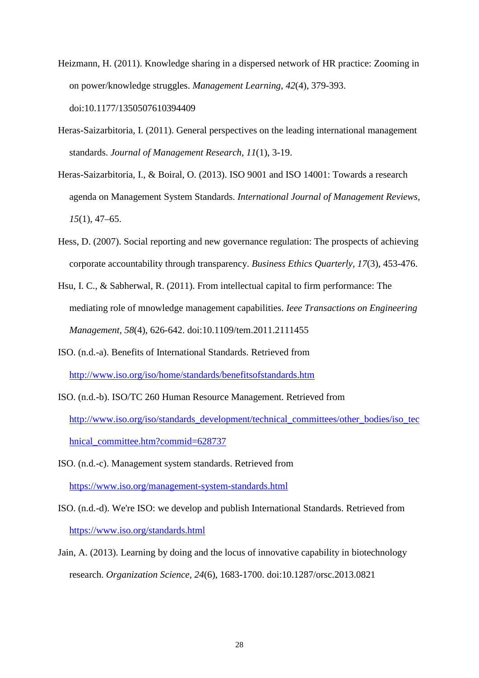- Heizmann, H. (2011). Knowledge sharing in a dispersed network of HR practice: Zooming in on power/knowledge struggles. *Management Learning, 42*(4), 379-393. doi:10.1177/1350507610394409
- Heras-Saizarbitoria, I. (2011). General perspectives on the leading international management standards. *Journal of Management Research, 11*(1), 3-19.
- Heras-Saizarbitoria, I., & Boiral, O. (2013). ISO 9001 and ISO 14001: Towards a research agenda on Management System Standards. *International Journal of Management Reviews, 15*(1), 47–65.
- Hess, D. (2007). Social reporting and new governance regulation: The prospects of achieving corporate accountability through transparency. *Business Ethics Quarterly, 17*(3), 453-476.
- Hsu, I. C., & Sabherwal, R. (2011). From intellectual capital to firm performance: The mediating role of mnowledge management capabilities. *Ieee Transactions on Engineering Management, 58*(4), 626-642. doi:10.1109/tem.2011.2111455
- ISO. (n.d.-a). Benefits of International Standards. Retrieved from <http://www.iso.org/iso/home/standards/benefitsofstandards.htm>
- ISO. (n.d.-b). ISO/TC 260 Human Resource Management. Retrieved from [http://www.iso.org/iso/standards\\_development/technical\\_committees/other\\_bodies/iso\\_tec](http://www.iso.org/iso/standards_development/technical_committees/other_bodies/iso_technical_committee.htm?commid=628737) [hnical\\_committee.htm?commid=628737](http://www.iso.org/iso/standards_development/technical_committees/other_bodies/iso_technical_committee.htm?commid=628737)
- ISO. (n.d.-c). Management system standards. Retrieved from <https://www.iso.org/management-system-standards.html>
- ISO. (n.d.-d). We're ISO: we develop and publish International Standards. Retrieved from <https://www.iso.org/standards.html>
- Jain, A. (2013). Learning by doing and the locus of innovative capability in biotechnology research. *Organization Science, 24*(6), 1683-1700. doi:10.1287/orsc.2013.0821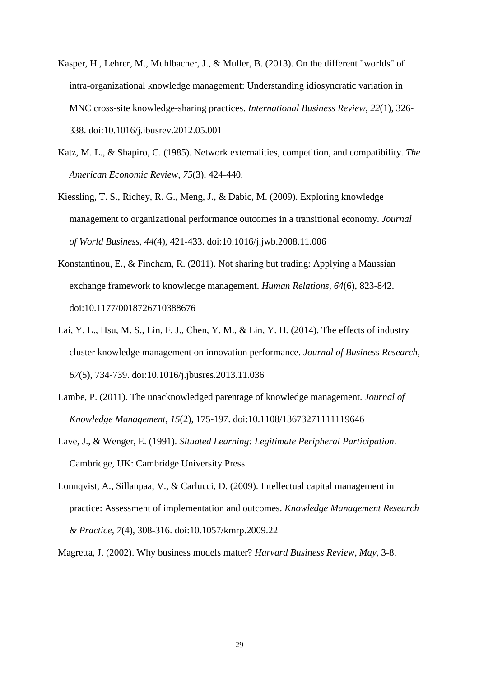- Kasper, H., Lehrer, M., Muhlbacher, J., & Muller, B. (2013). On the different "worlds" of intra-organizational knowledge management: Understanding idiosyncratic variation in MNC cross-site knowledge-sharing practices. *International Business Review, 22*(1), 326- 338. doi:10.1016/j.ibusrev.2012.05.001
- Katz, M. L., & Shapiro, C. (1985). Network externalities, competition, and compatibility. *The American Economic Review, 75*(3), 424-440.
- Kiessling, T. S., Richey, R. G., Meng, J., & Dabic, M. (2009). Exploring knowledge management to organizational performance outcomes in a transitional economy. *Journal of World Business, 44*(4), 421-433. doi:10.1016/j.jwb.2008.11.006
- Konstantinou, E., & Fincham, R. (2011). Not sharing but trading: Applying a Maussian exchange framework to knowledge management. *Human Relations, 64*(6), 823-842. doi:10.1177/0018726710388676
- Lai, Y. L., Hsu, M. S., Lin, F. J., Chen, Y. M., & Lin, Y. H. (2014). The effects of industry cluster knowledge management on innovation performance. *Journal of Business Research, 67*(5), 734-739. doi:10.1016/j.jbusres.2013.11.036
- Lambe, P. (2011). The unacknowledged parentage of knowledge management. *Journal of Knowledge Management, 15*(2), 175-197. doi:10.1108/13673271111119646
- Lave, J., & Wenger, E. (1991). *Situated Learning: Legitimate Peripheral Participation*. Cambridge, UK: Cambridge University Press.
- Lonnqvist, A., Sillanpaa, V., & Carlucci, D. (2009). Intellectual capital management in practice: Assessment of implementation and outcomes. *Knowledge Management Research & Practice, 7*(4), 308-316. doi:10.1057/kmrp.2009.22

Magretta, J. (2002). Why business models matter? *Harvard Business Review, May*, 3-8.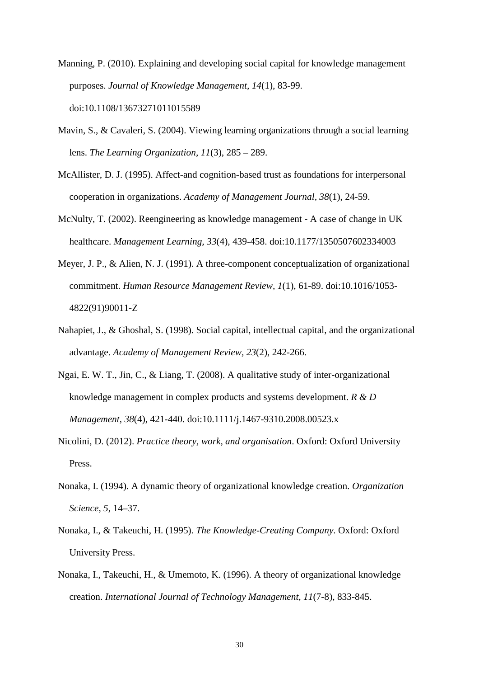- Manning, P. (2010). Explaining and developing social capital for knowledge management purposes. *Journal of Knowledge Management, 14*(1), 83-99. doi:10.1108/13673271011015589
- Mavin, S., & Cavaleri, S. (2004). Viewing learning organizations through a social learning lens. *The Learning Organization, 11*(3), 285 – 289.
- McAllister, D. J. (1995). Affect-and cognition-based trust as foundations for interpersonal cooperation in organizations. *Academy of Management Journal, 38*(1), 24-59.
- McNulty, T. (2002). Reengineering as knowledge management A case of change in UK healthcare. *Management Learning, 33*(4), 439-458. doi:10.1177/1350507602334003
- Meyer, J. P., & Alien, N. J. (1991). A three-component conceptualization of organizational commitment. *Human Resource Management Review, 1*(1), 61-89. doi:10.1016/1053- 4822(91)90011-Z
- Nahapiet, J., & Ghoshal, S. (1998). Social capital, intellectual capital, and the organizational advantage. *Academy of Management Review, 23*(2), 242-266.
- Ngai, E. W. T., Jin, C., & Liang, T. (2008). A qualitative study of inter-organizational knowledge management in complex products and systems development. *R & D Management, 38*(4), 421-440. doi:10.1111/j.1467-9310.2008.00523.x
- Nicolini, D. (2012). *Practice theory, work, and organisation*. Oxford: Oxford University Press.
- Nonaka, I. (1994). A dynamic theory of organizational knowledge creation. *Organization Science, 5*, 14–37.
- Nonaka, I., & Takeuchi, H. (1995). *The Knowledge-Creating Company*. Oxford: Oxford University Press.
- Nonaka, I., Takeuchi, H., & Umemoto, K. (1996). A theory of organizational knowledge creation. *International Journal of Technology Management, 11*(7-8), 833-845.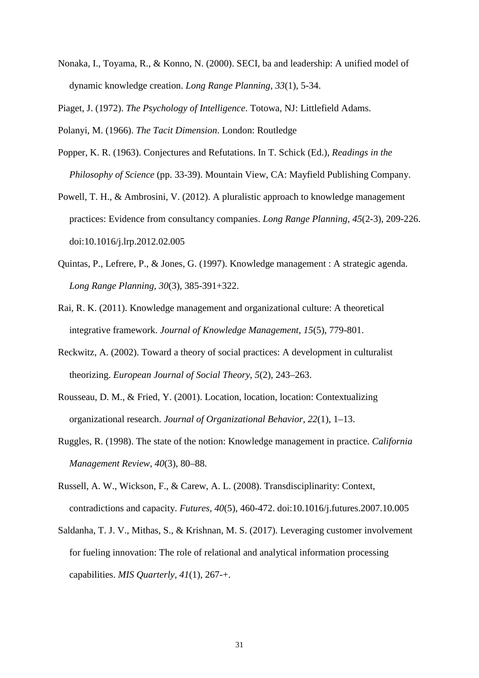Nonaka, I., Toyama, R., & Konno, N. (2000). SECI, ba and leadership: A unified model of dynamic knowledge creation. *Long Range Planning, 33*(1), 5-34.

Piaget, J. (1972). *The Psychology of Intelligence*. Totowa, NJ: Littlefield Adams.

Polanyi, M. (1966). *The Tacit Dimension*. London: Routledge

- Popper, K. R. (1963). Conjectures and Refutations. In T. Schick (Ed.), *Readings in the Philosophy of Science* (pp. 33-39). Mountain View, CA: Mayfield Publishing Company.
- Powell, T. H., & Ambrosini, V. (2012). A pluralistic approach to knowledge management practices: Evidence from consultancy companies. *Long Range Planning, 45*(2-3), 209-226. doi:10.1016/j.lrp.2012.02.005
- Quintas, P., Lefrere, P., & Jones, G. (1997). Knowledge management : A strategic agenda. *Long Range Planning, 30*(3), 385-391+322.
- Rai, R. K. (2011). Knowledge management and organizational culture: A theoretical integrative framework. *Journal of Knowledge Management, 15*(5), 779-801.
- Reckwitz, A. (2002). Toward a theory of social practices: A development in culturalist theorizing. *European Journal of Social Theory, 5*(2), 243–263.
- Rousseau, D. M., & Fried, Y. (2001). Location, location, location: Contextualizing organizational research. *Journal of Organizational Behavior, 22*(1), 1–13.
- Ruggles, R. (1998). The state of the notion: Knowledge management in practice. *California Management Review, 40*(3), 80–88.
- Russell, A. W., Wickson, F., & Carew, A. L. (2008). Transdisciplinarity: Context, contradictions and capacity. *Futures, 40*(5), 460-472. doi:10.1016/j.futures.2007.10.005
- Saldanha, T. J. V., Mithas, S., & Krishnan, M. S. (2017). Leveraging customer involvement for fueling innovation: The role of relational and analytical information processing capabilities. *MIS Quarterly, 41*(1), 267-+.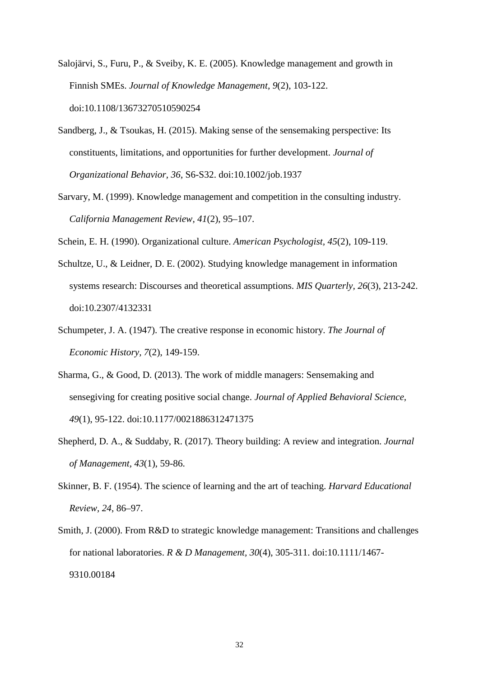- Salojärvi, S., Furu, P., & Sveiby, K. E. (2005). Knowledge management and growth in Finnish SMEs. *Journal of Knowledge Management, 9*(2), 103-122. doi:10.1108/13673270510590254
- Sandberg, J., & Tsoukas, H. (2015). Making sense of the sensemaking perspective: Its constituents, limitations, and opportunities for further development. *Journal of Organizational Behavior, 36*, S6-S32. doi:10.1002/job.1937
- Sarvary, M. (1999). Knowledge management and competition in the consulting industry. *California Management Review, 41*(2), 95–107.

Schein, E. H. (1990). Organizational culture. *American Psychologist, 45*(2), 109-119.

- Schultze, U., & Leidner, D. E. (2002). Studying knowledge management in information systems research: Discourses and theoretical assumptions. *MIS Quarterly, 26*(3), 213-242. doi:10.2307/4132331
- Schumpeter, J. A. (1947). The creative response in economic history. *The Journal of Economic History, 7*(2), 149-159.
- Sharma, G., & Good, D. (2013). The work of middle managers: Sensemaking and sensegiving for creating positive social change. *Journal of Applied Behavioral Science, 49*(1), 95-122. doi:10.1177/0021886312471375
- Shepherd, D. A., & Suddaby, R. (2017). Theory building: A review and integration. *Journal of Management, 43*(1), 59-86.
- Skinner, B. F. (1954). The science of learning and the art of teaching. *Harvard Educational Review, 24*, 86–97.
- Smith, J. (2000). From R&D to strategic knowledge management: Transitions and challenges for national laboratories. *R & D Management, 30*(4), 305-311. doi:10.1111/1467- 9310.00184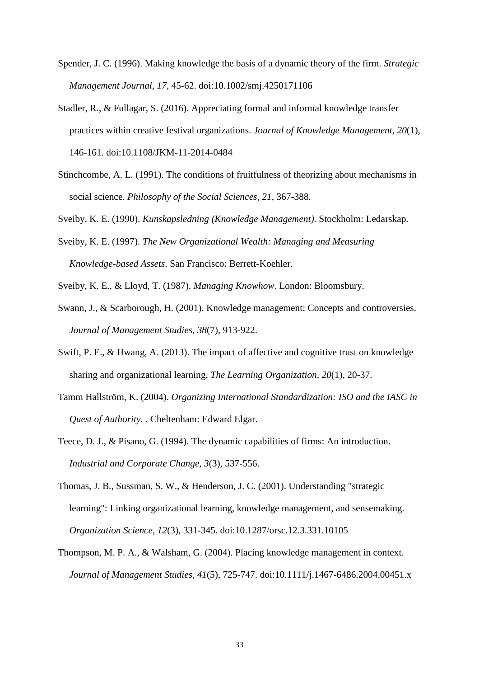- Spender, J. C. (1996). Making knowledge the basis of a dynamic theory of the firm. *Strategic Management Journal, 17*, 45-62. doi:10.1002/smj.4250171106
- Stadler, R., & Fullagar, S. (2016). Appreciating formal and informal knowledge transfer practices within creative festival organizations. *Journal of Knowledge Management, 20*(1), 146-161. doi:10.1108/JKM-11-2014-0484
- Stinchcombe, A. L. (1991). The conditions of fruitfulness of theorizing about mechanisms in social science. *Philosophy of the Social Sciences, 21*, 367-388.
- Sveiby, K. E. (1990). *Kunskapsledning (Knowledge Management)*. Stockholm: Ledarskap.
- Sveiby, K. E. (1997). *The New Organizational Wealth: Managing and Measuring Knowledge-based Assets*. San Francisco: Berrett-Koehler.
- Sveiby, K. E., & Lloyd, T. (1987). *Managing Knowhow*. London: Bloomsbury.
- Swann, J., & Scarborough, H. (2001). Knowledge management: Concepts and controversies. *Journal of Management Studies, 38*(7), 913-922.
- Swift, P. E., & Hwang, A. (2013). The impact of affective and cognitive trust on knowledge sharing and organizational learning. *The Learning Organization, 20*(1), 20-37.
- Tamm Hallström, K. (2004). *Organizing International Standardization: ISO and the IASC in Quest of Authority.* . Cheltenham: Edward Elgar.
- Teece, D. J., & Pisano, G. (1994). The dynamic capabilities of firms: An introduction. *Industrial and Corporate Change, 3*(3), 537-556.
- Thomas, J. B., Sussman, S. W., & Henderson, J. C. (2001). Understanding "strategic learning": Linking organizational learning, knowledge management, and sensemaking. *Organization Science, 12*(3), 331-345. doi:10.1287/orsc.12.3.331.10105
- Thompson, M. P. A., & Walsham, G. (2004). Placing knowledge management in context. *Journal of Management Studies, 41*(5), 725-747. doi:10.1111/j.1467-6486.2004.00451.x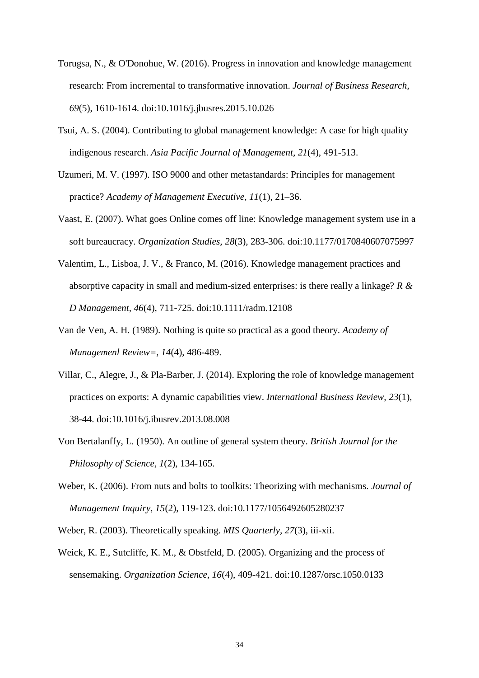- Torugsa, N., & O'Donohue, W. (2016). Progress in innovation and knowledge management research: From incremental to transformative innovation. *Journal of Business Research, 69*(5), 1610-1614. doi:10.1016/j.jbusres.2015.10.026
- Tsui, A. S. (2004). Contributing to global management knowledge: A case for high quality indigenous research. *Asia Pacific Journal of Management, 21*(4), 491-513.
- Uzumeri, M. V. (1997). ISO 9000 and other metastandards: Principles for management practice? *Academy of Management Executive, 11*(1), 21–36.
- Vaast, E. (2007). What goes Online comes off line: Knowledge management system use in a soft bureaucracy. *Organization Studies, 28*(3), 283-306. doi:10.1177/0170840607075997
- Valentim, L., Lisboa, J. V., & Franco, M. (2016). Knowledge management practices and absorptive capacity in small and medium-sized enterprises: is there really a linkage? *R & D Management, 46*(4), 711-725. doi:10.1111/radm.12108
- Van de Ven, A. H. (1989). Nothing is quite so practical as a good theory. *Academy of Managemenl Review=, 14*(4), 486-489.
- Villar, C., Alegre, J., & Pla-Barber, J. (2014). Exploring the role of knowledge management practices on exports: A dynamic capabilities view. *International Business Review, 23*(1), 38-44. doi:10.1016/j.ibusrev.2013.08.008
- Von Bertalanffy, L. (1950). An outline of general system theory. *British Journal for the Philosophy of Science, 1*(2), 134-165.
- Weber, K. (2006). From nuts and bolts to toolkits: Theorizing with mechanisms. *Journal of Management Inquiry, 15*(2), 119-123. doi:10.1177/1056492605280237
- Weber, R. (2003). Theoretically speaking. *MIS Quarterly, 27*(3), iii-xii.
- Weick, K. E., Sutcliffe, K. M., & Obstfeld, D. (2005). Organizing and the process of sensemaking. *Organization Science, 16*(4), 409-421. doi:10.1287/orsc.1050.0133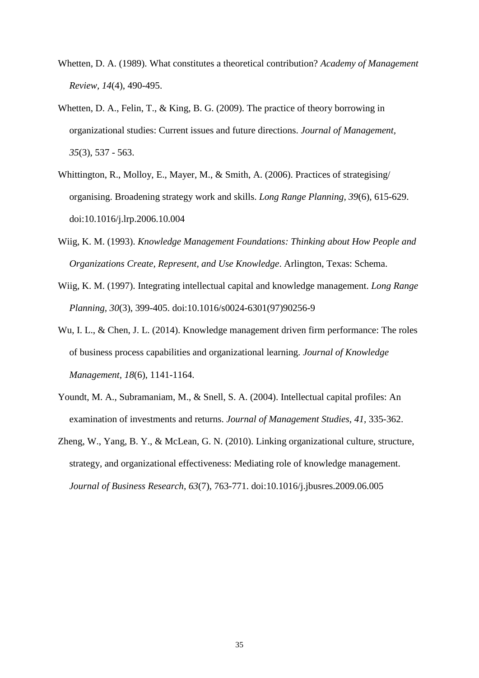- Whetten, D. A. (1989). What constitutes a theoretical contribution? *Academy of Management Review, 14*(4), 490-495.
- Whetten, D. A., Felin, T., & King, B. G. (2009). The practice of theory borrowing in organizational studies: Current issues and future directions. *Journal of Management, 35*(3), 537 - 563.
- Whittington, R., Molloy, E., Mayer, M., & Smith, A. (2006). Practices of strategising/ organising. Broadening strategy work and skills. *Long Range Planning, 39*(6), 615-629. doi:10.1016/j.lrp.2006.10.004
- Wiig, K. M. (1993). *Knowledge Management Foundations: Thinking about How People and Organizations Create, Represent, and Use Knowledge*. Arlington, Texas: Schema.
- Wiig, K. M. (1997). Integrating intellectual capital and knowledge management. *Long Range Planning, 30*(3), 399-405. doi:10.1016/s0024-6301(97)90256-9
- Wu, I. L., & Chen, J. L. (2014). Knowledge management driven firm performance: The roles of business process capabilities and organizational learning. *Journal of Knowledge Management, 18*(6), 1141-1164.
- Youndt, M. A., Subramaniam, M., & Snell, S. A. (2004). Intellectual capital profiles: An examination of investments and returns. *Journal of Management Studies, 41*, 335-362.
- Zheng, W., Yang, B. Y., & McLean, G. N. (2010). Linking organizational culture, structure, strategy, and organizational effectiveness: Mediating role of knowledge management. *Journal of Business Research, 63*(7), 763-771. doi:10.1016/j.jbusres.2009.06.005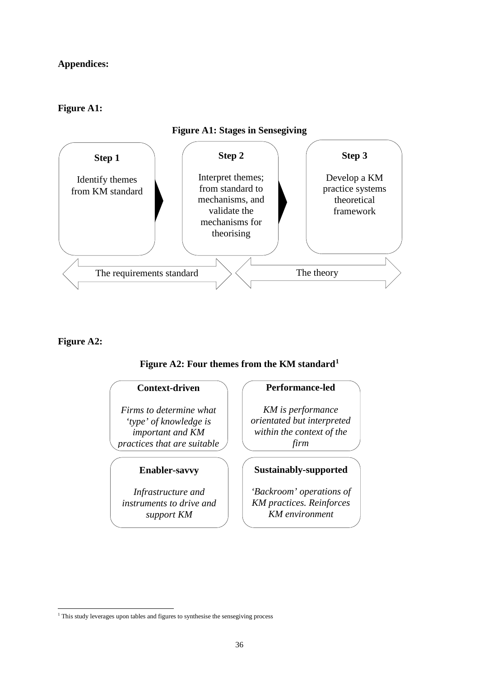# **Appendices:**

# **Figure A1:**



# **Figure A2:**

# **Figure A2: Four themes from the KM standard[1](#page-38-0)**

#### **Context-driven**

*Firms to determine what 'type' of knowledge is important and KM practices that are suitable*

# **Enabler-savvy**

*Infrastructure and instruments to drive and support KM* 

### **Performance-led**

*KM is performance orientated but interpreted within the context of the firm*

# **Sustainably-supported**

*'Backroom' operations of KM practices. Reinforces KM environment*

<span id="page-38-0"></span><sup>-</sup><sup>1</sup> This study leverages upon tables and figures to synthesise the sensegiving process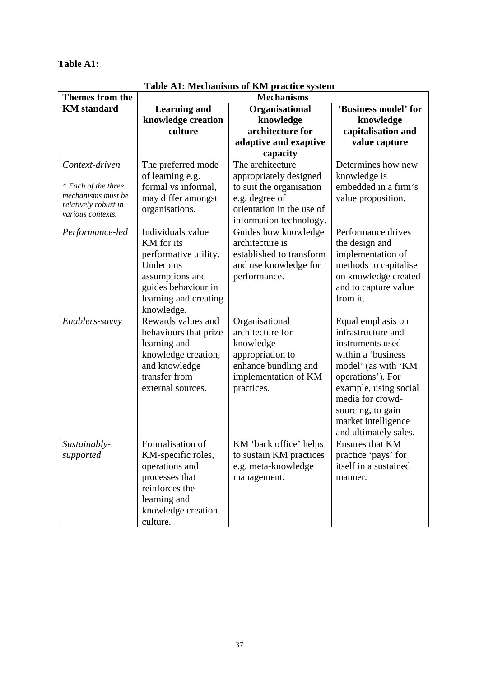# **Table A1:**

| <b>Themes from the</b>                                                                                   | <b>Mechanisms</b>                                                                                                                                      |                                                                                                                                                  |                                                                                                                                                                                                                                                 |  |  |  |
|----------------------------------------------------------------------------------------------------------|--------------------------------------------------------------------------------------------------------------------------------------------------------|--------------------------------------------------------------------------------------------------------------------------------------------------|-------------------------------------------------------------------------------------------------------------------------------------------------------------------------------------------------------------------------------------------------|--|--|--|
| <b>KM</b> standard                                                                                       | <b>Learning and</b>                                                                                                                                    | Organisational                                                                                                                                   | 'Business model' for                                                                                                                                                                                                                            |  |  |  |
|                                                                                                          | knowledge creation                                                                                                                                     | knowledge                                                                                                                                        | knowledge                                                                                                                                                                                                                                       |  |  |  |
|                                                                                                          | culture                                                                                                                                                | architecture for                                                                                                                                 | capitalisation and                                                                                                                                                                                                                              |  |  |  |
|                                                                                                          |                                                                                                                                                        | adaptive and exaptive                                                                                                                            | value capture                                                                                                                                                                                                                                   |  |  |  |
|                                                                                                          |                                                                                                                                                        | capacity                                                                                                                                         |                                                                                                                                                                                                                                                 |  |  |  |
| Context-driven<br>* Each of the three<br>mechanisms must be<br>relatively robust in<br>various contexts. | The preferred mode<br>of learning e.g.<br>formal vs informal,<br>may differ amongst<br>organisations.                                                  | The architecture<br>appropriately designed<br>to suit the organisation<br>e.g. degree of<br>orientation in the use of<br>information technology. | Determines how new<br>knowledge is<br>embedded in a firm's<br>value proposition.                                                                                                                                                                |  |  |  |
| Performance-led                                                                                          | Individuals value<br>KM for its<br>performative utility.<br>Underpins<br>assumptions and<br>guides behaviour in<br>learning and creating<br>knowledge. | Guides how knowledge<br>architecture is<br>established to transform<br>and use knowledge for<br>performance.                                     | Performance drives<br>the design and<br>implementation of<br>methods to capitalise<br>on knowledge created<br>and to capture value<br>from it.                                                                                                  |  |  |  |
| Enablers-savvy                                                                                           | Rewards values and<br>behaviours that prize<br>learning and<br>knowledge creation,<br>and knowledge<br>transfer from<br>external sources.              | Organisational<br>architecture for<br>knowledge<br>appropriation to<br>enhance bundling and<br>implementation of KM<br>practices.                | Equal emphasis on<br>infrastructure and<br>instruments used<br>within a 'business<br>model' (as with 'KM<br>operations'). For<br>example, using social<br>media for crowd-<br>sourcing, to gain<br>market intelligence<br>and ultimately sales. |  |  |  |
| Sustainably-<br>supported                                                                                | Formalisation of<br>KM-specific roles,<br>operations and<br>processes that<br>reinforces the<br>learning and<br>knowledge creation<br>culture.         | KM 'back office' helps<br>to sustain KM practices<br>e.g. meta-knowledge<br>management.                                                          | <b>Ensures that KM</b><br>practice 'pays' for<br>itself in a sustained<br>manner.                                                                                                                                                               |  |  |  |

**Table A1: Mechanisms of KM practice system**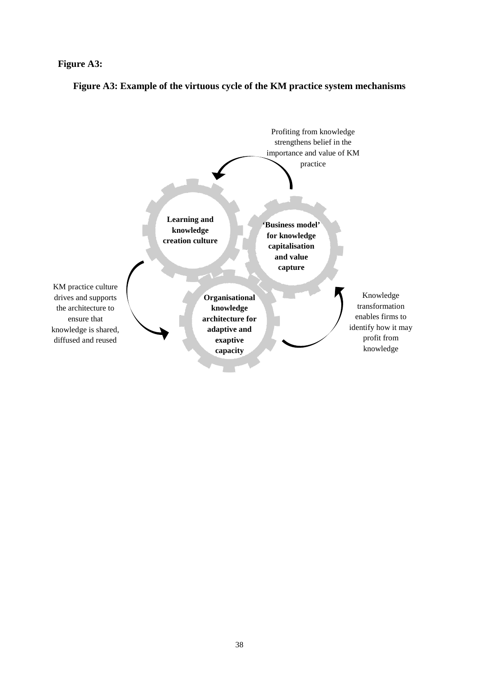#### **Figure A3:**



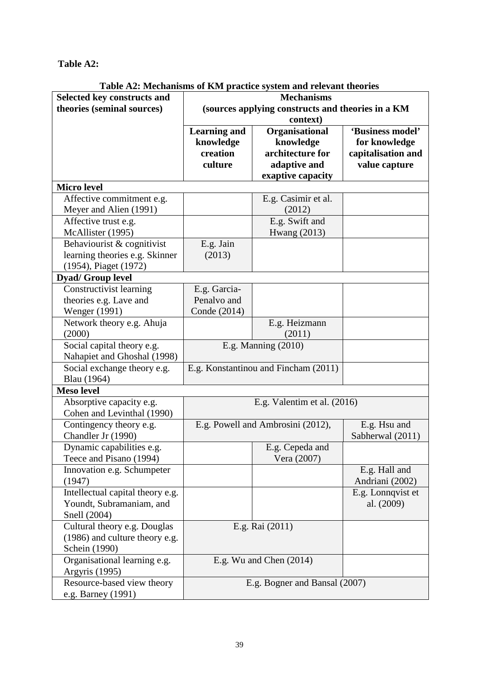**Table A2:**

|                                    | Table A2. Mechanisms of Kivi practice system and relevant theories |                     |                    |  |
|------------------------------------|--------------------------------------------------------------------|---------------------|--------------------|--|
| <b>Selected key constructs and</b> | <b>Mechanisms</b>                                                  |                     |                    |  |
| theories (seminal sources)         | (sources applying constructs and theories in a KM                  |                     |                    |  |
|                                    | context)<br>'Business model'                                       |                     |                    |  |
|                                    | <b>Learning and</b>                                                | Organisational      |                    |  |
|                                    | knowledge                                                          | knowledge           | for knowledge      |  |
|                                    | creation                                                           | architecture for    | capitalisation and |  |
|                                    | culture                                                            | adaptive and        | value capture      |  |
|                                    |                                                                    | exaptive capacity   |                    |  |
| <b>Micro level</b>                 |                                                                    |                     |                    |  |
| Affective commitment e.g.          |                                                                    | E.g. Casimir et al. |                    |  |
| Meyer and Alien (1991)             |                                                                    | (2012)              |                    |  |
| Affective trust e.g.               |                                                                    | E.g. Swift and      |                    |  |
| McAllister (1995)                  |                                                                    | Hwang (2013)        |                    |  |
| Behaviourist & cognitivist         | E.g. Jain                                                          |                     |                    |  |
| learning theories e.g. Skinner     | (2013)                                                             |                     |                    |  |
| (1954), Piaget (1972)              |                                                                    |                     |                    |  |
| <b>Dyad/Group level</b>            |                                                                    |                     |                    |  |
| Constructivist learning            | E.g. Garcia-                                                       |                     |                    |  |
| theories e.g. Lave and             | Penalvo and                                                        |                     |                    |  |
| Wenger (1991)                      | Conde (2014)                                                       |                     |                    |  |
| Network theory e.g. Ahuja          |                                                                    | E.g. Heizmann       |                    |  |
| (2000)                             |                                                                    | (2011)              |                    |  |
| Social capital theory e.g.         | E.g. Manning (2010)                                                |                     |                    |  |
| Nahapiet and Ghoshal (1998)        |                                                                    |                     |                    |  |
| Social exchange theory e.g.        | E.g. Konstantinou and Fincham (2011)                               |                     |                    |  |
| Blau (1964)                        |                                                                    |                     |                    |  |
| <b>Meso level</b>                  |                                                                    |                     |                    |  |
| Absorptive capacity e.g.           | E.g. Valentim et al. (2016)                                        |                     |                    |  |
| Cohen and Levinthal (1990)         |                                                                    |                     |                    |  |
| Contingency theory e.g.            | E.g. Powell and Ambrosini (2012),                                  |                     | E.g. Hsu and       |  |
| Chandler Jr $(1990)$               |                                                                    |                     | Sabherwal (2011)   |  |
| Dynamic capabilities e.g.          |                                                                    | E.g. Cepeda and     |                    |  |
| Teece and Pisano (1994)            |                                                                    | Vera (2007)         |                    |  |
| Innovation e.g. Schumpeter         |                                                                    |                     | E.g. Hall and      |  |
| (1947)                             |                                                                    |                     | Andriani (2002)    |  |
| Intellectual capital theory e.g.   |                                                                    |                     | E.g. Lonnqvist et  |  |
| Youndt, Subramaniam, and           |                                                                    |                     | al. (2009)         |  |
| Snell (2004)                       |                                                                    |                     |                    |  |
| Cultural theory e.g. Douglas       | E.g. Rai (2011)                                                    |                     |                    |  |
| (1986) and culture theory e.g.     |                                                                    |                     |                    |  |
| Schein (1990)                      |                                                                    |                     |                    |  |
| Organisational learning e.g.       | E.g. Wu and Chen (2014)                                            |                     |                    |  |
| Argyris (1995)                     |                                                                    |                     |                    |  |
| Resource-based view theory         | E.g. Bogner and Bansal (2007)                                      |                     |                    |  |
| e.g. Barney (1991)                 |                                                                    |                     |                    |  |

**Table A2: Mechanisms of KM practice system and relevant theories**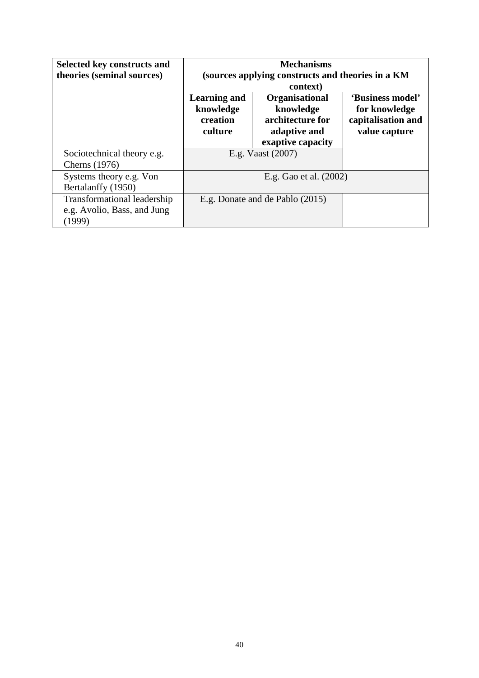| Selected key constructs and<br>theories (seminal sources)            | <b>Mechanisms</b><br>(sources applying constructs and theories in a KM)<br>context) |                                                                                             |                                                                          |  |
|----------------------------------------------------------------------|-------------------------------------------------------------------------------------|---------------------------------------------------------------------------------------------|--------------------------------------------------------------------------|--|
|                                                                      | <b>Learning and</b><br>knowledge<br>creation<br>culture                             | <b>Organisational</b><br>knowledge<br>architecture for<br>adaptive and<br>exaptive capacity | 'Business model'<br>for knowledge<br>capitalisation and<br>value capture |  |
| Sociotechnical theory e.g.<br><b>Cherns</b> (1976)                   | E.g. Vaast (2007)                                                                   |                                                                                             |                                                                          |  |
| Systems theory e.g. Von<br>Bertalanffy (1950)                        | E.g. Gao et al. (2002)                                                              |                                                                                             |                                                                          |  |
| Transformational leadership<br>e.g. Avolio, Bass, and Jung<br>(1999) | E.g. Donate and de Pablo (2015)                                                     |                                                                                             |                                                                          |  |